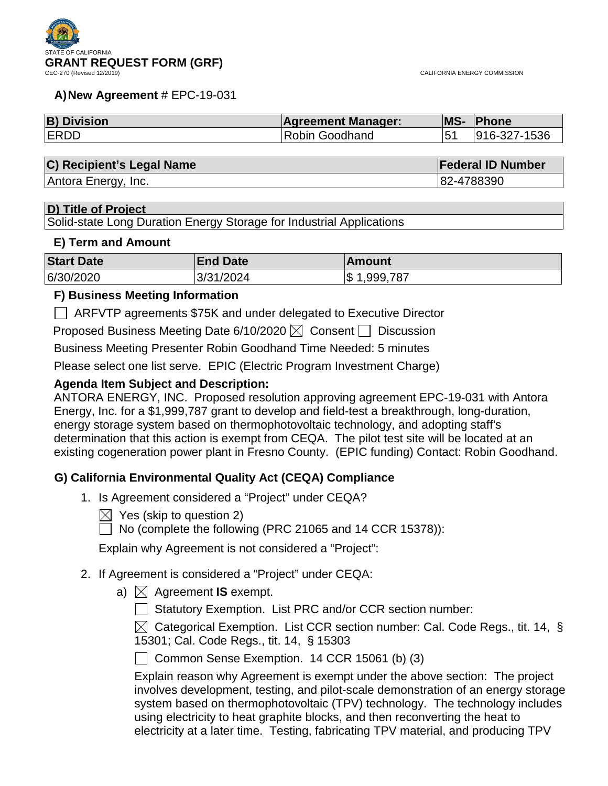

#### **A)New Agreement** # EPC-19-031

| <b>B) Division</b> | <b>Agreement Manager:</b> | MS- | Phone        |
|--------------------|---------------------------|-----|--------------|
| <b>ERDD</b>        | Robin Goodhand            |     | 916-327-1536 |

#### **C) Recipient's Legal Name Federal ID Number Federal ID Number**

Antora Energy, Inc. **82-4788390** 

#### **D) Title of Project**

Solid-state Long Duration Energy Storage for Industrial Applications

#### **E) Term and Amount**

| <b>Start Date</b> | <b>End Date</b> | <b>Amount</b>   |
|-------------------|-----------------|-----------------|
| 6/30/2020         | 3/31/2024       | 1,999,787<br>S. |

#### **F) Business Meeting Information**

ARFVTP agreements \$75K and under delegated to Executive Director

Proposed Business Meeting Date 6/10/2020  $\boxtimes$  Consent  $\Box$  Discussion

Business Meeting Presenter Robin Goodhand Time Needed: 5 minutes

Please select one list serve. EPIC (Electric Program Investment Charge)

#### **Agenda Item Subject and Description:**

ANTORA ENERGY, INC. Proposed resolution approving agreement EPC-19-031 with Antora Energy, Inc. for a \$1,999,787 grant to develop and field-test a breakthrough, long-duration, energy storage system based on thermophotovoltaic technology, and adopting staff's determination that this action is exempt from CEQA. The pilot test site will be located at an existing cogeneration power plant in Fresno County. (EPIC funding) Contact: Robin Goodhand.

### **G) California Environmental Quality Act (CEQA) Compliance**

- 1. Is Agreement considered a "Project" under CEQA?
	- $\boxtimes$  Yes (skip to question 2)
	- $\Box$  No (complete the following (PRC 21065 and 14 CCR 15378)):

Explain why Agreement is not considered a "Project":

- 2. If Agreement is considered a "Project" under CEQA:
	- a)  $\bowtie$  Agreement **IS** exempt.
		- Statutory Exemption. List PRC and/or CCR section number:

 $\boxtimes$  Categorical Exemption. List CCR section number: Cal. Code Regs., tit. 14, § 15301; Cal. Code Regs., tit. 14, § 15303

◯ Common Sense Exemption. 14 CCR 15061 (b) (3)

Explain reason why Agreement is exempt under the above section: The project involves development, testing, and pilot-scale demonstration of an energy storage system based on thermophotovoltaic (TPV) technology. The technology includes using electricity to heat graphite blocks, and then reconverting the heat to electricity at a later time. Testing, fabricating TPV material, and producing TPV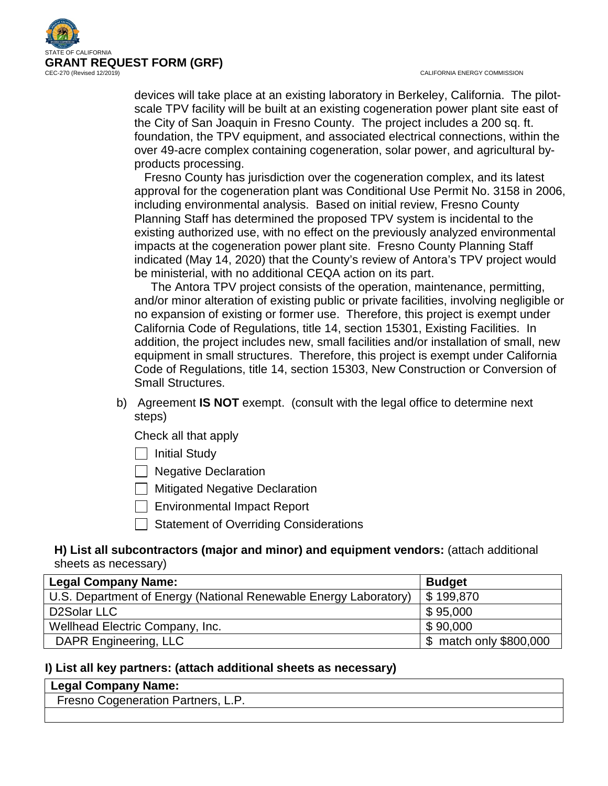

devices will take place at an existing laboratory in Berkeley, California. The pilotscale TPV facility will be built at an existing cogeneration power plant site east of the City of San Joaquin in Fresno County. The project includes a 200 sq. ft. foundation, the TPV equipment, and associated electrical connections, within the over 49-acre complex containing cogeneration, solar power, and agricultural byproducts processing.

 Fresno County has jurisdiction over the cogeneration complex, and its latest approval for the cogeneration plant was Conditional Use Permit No. 3158 in 2006, including environmental analysis. Based on initial review, Fresno County Planning Staff has determined the proposed TPV system is incidental to the existing authorized use, with no effect on the previously analyzed environmental impacts at the cogeneration power plant site. Fresno County Planning Staff indicated (May 14, 2020) that the County's review of Antora's TPV project would be ministerial, with no additional CEQA action on its part.

 The Antora TPV project consists of the operation, maintenance, permitting, and/or minor alteration of existing public or private facilities, involving negligible or no expansion of existing or former use. Therefore, this project is exempt under California Code of Regulations, title 14, section 15301, Existing Facilities. In addition, the project includes new, small facilities and/or installation of small, new equipment in small structures. Therefore, this project is exempt under California Code of Regulations, title 14, section 15303, New Construction or Conversion of Small Structures.

b) Agreement **IS NOT** exempt. (consult with the legal office to determine next steps)

Check all that apply

 $\Box$  Initial Study

□ Negative Declaration

 $\Box$  Mitigated Negative Declaration

Environmental Impact Report

 $\Box$  Statement of Overriding Considerations

### **H) List all subcontractors (major and minor) and equipment vendors:** (attach additional sheets as necessary)

| <b>Legal Company Name:</b>                                       | <b>Budget</b>           |
|------------------------------------------------------------------|-------------------------|
| U.S. Department of Energy (National Renewable Energy Laboratory) | $\frac{1}{2}$ 199,870   |
| D2Solar LLC                                                      | \$95,000                |
| Wellhead Electric Company, Inc.                                  | \$90,000                |
| DAPR Engineering, LLC                                            | \$ match only \$800,000 |

### **I) List all key partners: (attach additional sheets as necessary)**

| Legal Company Name:                |
|------------------------------------|
| Fresno Cogeneration Partners, L.P. |
|                                    |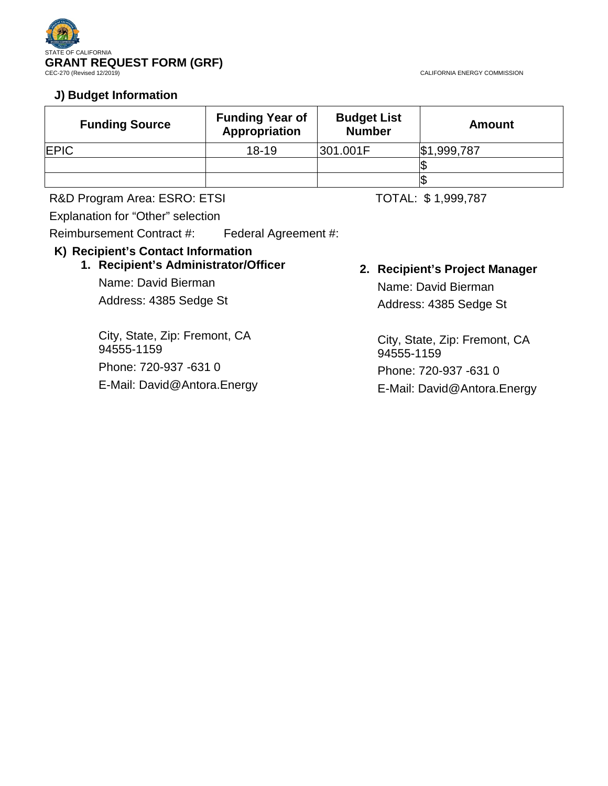

### **J) Budget Information**

| <b>Funding Source</b> | <b>Funding Year of</b><br>Appropriation | <b>Budget List</b><br><b>Number</b> | <b>Amount</b> |
|-----------------------|-----------------------------------------|-------------------------------------|---------------|
| <b>EPIC</b>           | $18 - 19$                               | 301.001F                            | \$1,999,787   |
|                       |                                         |                                     |               |
|                       |                                         |                                     |               |

R&D Program Area: ESRO: ETSI TOTAL: \$1,999,787

Explanation for "Other" selection

94555-1159

Reimbursement Contract #: Federal Agreement #:

### **K) Recipient's Contact Information**

### **1. Recipient's Administrator/Officer**

Name: David Bierman Address: 4385 Sedge St

Phone: 720-937 -631 0

City, State, Zip: Fremont, CA

E-Mail: David@Antora.Energy

**2. Recipient's Project Manager** Name: David Bierman

Address: 4385 Sedge St

City, State, Zip: Fremont, CA 94555-1159 Phone: 720-937 -631 0

E-Mail: David@Antora.Energy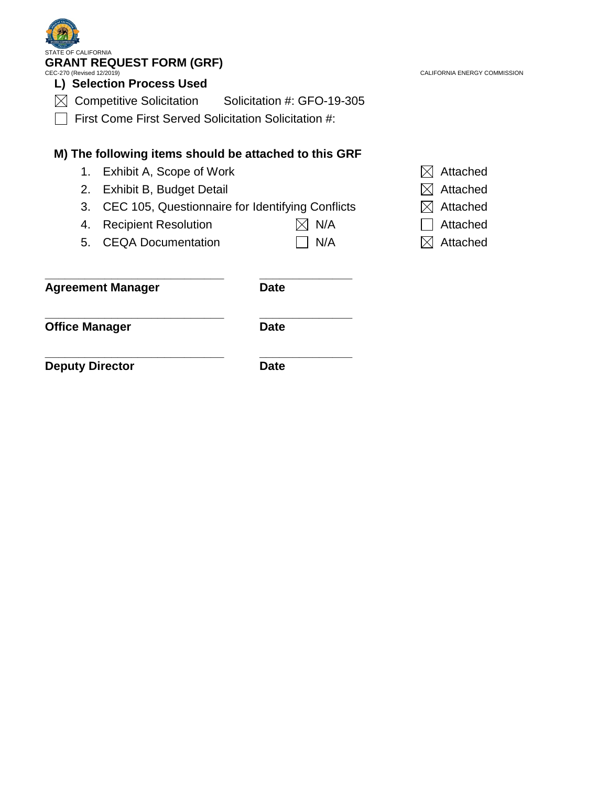| CEC-270 (Revised 12/2019)<br>L) Selection Process Used | CALIFORNIA ENERGY COMMISSION                       |                                                                                                                                                                                                                                                                                                                         |
|--------------------------------------------------------|----------------------------------------------------|-------------------------------------------------------------------------------------------------------------------------------------------------------------------------------------------------------------------------------------------------------------------------------------------------------------------------|
|                                                        |                                                    |                                                                                                                                                                                                                                                                                                                         |
|                                                        |                                                    |                                                                                                                                                                                                                                                                                                                         |
|                                                        |                                                    | Attached                                                                                                                                                                                                                                                                                                                |
|                                                        |                                                    | Attached                                                                                                                                                                                                                                                                                                                |
|                                                        |                                                    | Attached                                                                                                                                                                                                                                                                                                                |
| <b>Recipient Resolution</b>                            | N/A                                                | Attached                                                                                                                                                                                                                                                                                                                |
|                                                        | N/A                                                | Attached                                                                                                                                                                                                                                                                                                                |
| <b>Agreement Manager</b>                               | <b>Date</b>                                        |                                                                                                                                                                                                                                                                                                                         |
|                                                        | E OF CALIFORNIA<br><b>Competitive Solicitation</b> | <b>GRANT REQUEST FORM (GRF)</b><br>Solicitation #: GFO-19-305<br>First Come First Served Solicitation Solicitation #:<br>M) The following items should be attached to this GRF<br>Exhibit A, Scope of Work<br>Exhibit B, Budget Detail<br>CEC 105, Questionnaire for Identifying Conflicts<br><b>CEQA Documentation</b> |

**Office Manager Date**

**\_\_\_\_\_\_\_\_\_\_\_\_\_\_\_\_\_\_\_\_\_\_\_\_\_\_\_ \_\_\_\_\_\_\_\_\_\_\_\_\_\_ Deputy Director Date**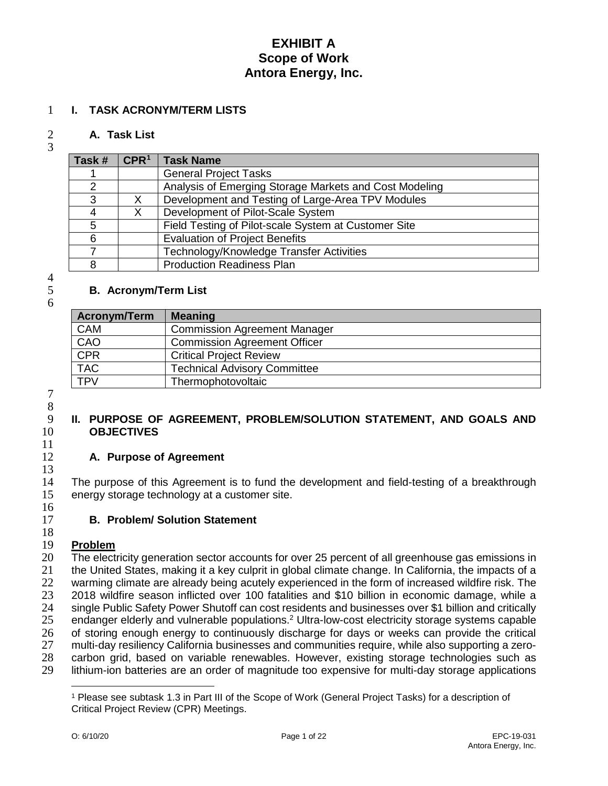#### **I. TASK ACRONYM/TERM LISTS**

#### **A. Task List**

| Task # | CPR <sup>1</sup> | <b>Task Name</b>                                       |
|--------|------------------|--------------------------------------------------------|
|        |                  | <b>General Project Tasks</b>                           |
| າ      |                  | Analysis of Emerging Storage Markets and Cost Modeling |
| 3      | X                | Development and Testing of Large-Area TPV Modules      |
|        | X                | Development of Pilot-Scale System                      |
| 5      |                  | Field Testing of Pilot-scale System at Customer Site   |
| 6      |                  | <b>Evaluation of Project Benefits</b>                  |
|        |                  | Technology/Knowledge Transfer Activities               |
| 8      |                  | <b>Production Readiness Plan</b>                       |

# $\frac{4}{5}$

#### **B. Acronym/Term List**

| Acronym/Term | <b>Meaning</b>                      |
|--------------|-------------------------------------|
| <b>CAM</b>   | <b>Commission Agreement Manager</b> |
| CAO          | <b>Commission Agreement Officer</b> |
| CPR          | <b>Critical Project Review</b>      |
| <b>TAC</b>   | <b>Technical Advisory Committee</b> |
| <b>TPV</b>   | Thermophotovoltaic                  |

 8<br>9

#### **II. PURPOSE OF AGREEMENT, PROBLEM/SOLUTION STATEMENT, AND GOALS AND OBJECTIVES**

#### **A. Purpose of Agreement**

 The purpose of this Agreement is to fund the development and field-testing of a breakthrough energy storage technology at a customer site.  $\frac{16}{17}$ 

### **B. Problem/ Solution Statement**

#### **Problem**

 The electricity generation sector accounts for over 25 percent of all greenhouse gas emissions in the United States, making it a key culprit in global climate change. In California, the impacts of a warming climate are already being acutely experienced in the form of increased wildfire risk. The 2018 wildfire season inflicted over 100 fatalities and \$10 billion in economic damage, while a 24 single Public Safety Power Shutoff can cost residents and businesses over \$1 billion and critically<br>25 endanger elderly and vulnerable populations.<sup>2</sup> Ultra-low-cost electricity storage systems capable 25 endanger elderly and vulnerable populations.<sup>2</sup> Ultra-low-cost electricity storage systems capable  $26$  of storing enough energy to continuously discharge for days or weeks can provide the critical 26 of storing enough energy to continuously discharge for days or weeks can provide the critical<br>27 multi-day resiliency California businesses and communities require, while also supporting a zero- multi-day resiliency California businesses and communities require, while also supporting a zero- carbon grid, based on variable renewables. However, existing storage technologies such as lithium-ion batteries are an order of magnitude too expensive for multi-day storage applications

 $\overline{a}$ 

<span id="page-4-0"></span> Please see subtask 1.3 in Part III of the Scope of Work (General Project Tasks) for a description of Critical Project Review (CPR) Meetings.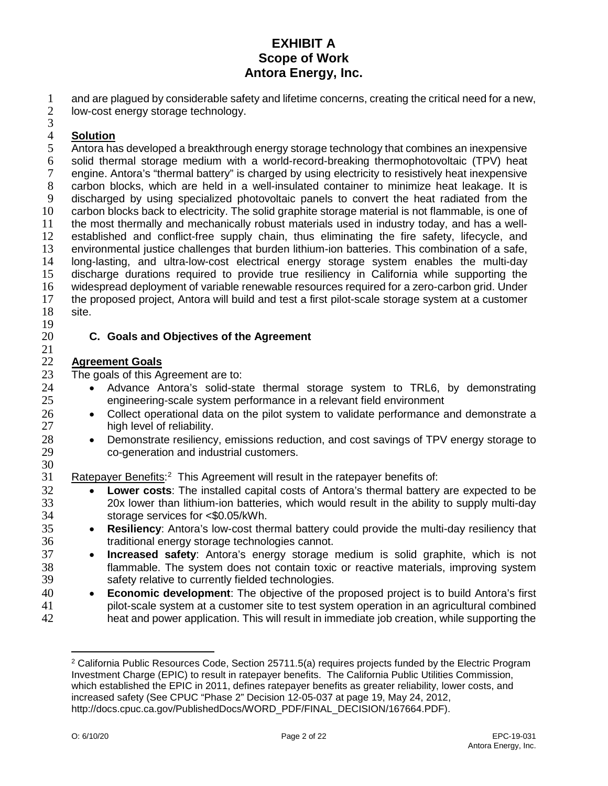1 and are plagued by considerable safety and lifetime concerns, creating the critical need for a new,<br>2 low-cost energy storage technology.

- low-cost energy storage technology.
- 3

19

# 4 **Solution**

Antora has developed a breakthrough energy storage technology that combines an inexpensive 6 solid thermal storage medium with a world-record-breaking thermophotovoltaic (TPV) heat 7 engine. Antora's "thermal battery" is charged by using electricity to resistively heat inexpensive 8 carbon blocks, which are held in a well-insulated container to minimize heat leakage. It is discharged by using specialized photovoltaic panels to convert the heat radiated from the 9 discharged by using specialized photovoltaic panels to convert the heat radiated from the 10 carbon blocks back to electricity. The solid graphite storage material is not flammable, is one of 11 the most thermally and mechanically robust materials used in industry today, and has a well-12 established and conflict-free supply chain, thus eliminating the fire safety, lifecycle, and 13 environmental justice challenges that burden lithium-ion batteries. This combination of a safe,<br>14 Iong-lasting, and ultra-low-cost electrical energy storage system enables the multi-day 14 long-lasting, and ultra-low-cost electrical energy storage system enables the multi-day<br>15 discharge durations required to provide true resiliency in California while supporting the 15 discharge durations required to provide true resiliency in California while supporting the 16 widespread deployment of variable renewable resources required for a zero-carbon grid. Under<br>17 the proposed project, Antora will build and test a first pilot-scale storage system at a customer 17 the proposed project, Antora will build and test a first pilot-scale storage system at a customer 18 site.

#### 20 **C. Goals and Objectives of the Agreement**

# $\frac{21}{22}$ 22 **Agreement Goals**

23 The goals of this Agreement are to:<br>24 • Advance Antora's solid-sta

- 24 Advance Antora's solid-state thermal storage system to TRL6, by demonstrating<br>25 engineering-scale system performance in a relevant field environment engineering-scale system performance in a relevant field environment
- 26 Collect operational data on the pilot system to validate performance and demonstrate a 27 high level of reliability.
- 28 Demonstrate resiliency, emissions reduction, and cost savings of TPV energy storage to 29 co-generation and industrial customers.

30<br>31 31 Ratepayer Benefits:<sup>[2](#page-5-0)</sup> This Agreement will result in the ratepayer benefits of:

- **Lower costs**: The installed capital costs of Antora's thermal battery are expected to be<br>33 20x lower than lithium-ion batteries, which would result in the ability to supply multi-day 33 20x lower than lithium-ion batteries, which would result in the ability to supply multi-day 34 storage services for <\$0.05/kWh.
- 35 **Resiliency**: Antora's low-cost thermal battery could provide the multi-day resiliency that 36 traditional energy storage technologies cannot.
- **17 Increased safety**: Antora's energy storage medium is solid graphite, which is not 38 flammable. The system does not contain toxic or reactive materials, improving system 38 flammable. The system does not contain toxic or reactive materials, improving system safety relative to currently fielded technologies.
- 40 **Economic development**: The objective of the proposed project is to build Antora's first 41 pilot-scale system at a customer site to test system operation in an agricultural combined 42 heat and power application. This will result in immediate job creation, while supporting the

 $\overline{a}$ 

<span id="page-5-0"></span><sup>2</sup> California Public Resources Code, Section 25711.5(a) requires projects funded by the Electric Program Investment Charge (EPIC) to result in ratepayer benefits. The California Public Utilities Commission, which established the EPIC in 2011, defines ratepayer benefits as greater reliability, lower costs, and increased safety (See CPUC "Phase 2" Decision 12-05-037 at page 19, May 24, 2012, http://docs.cpuc.ca.gov/PublishedDocs/WORD\_PDF/FINAL\_DECISION/167664.PDF).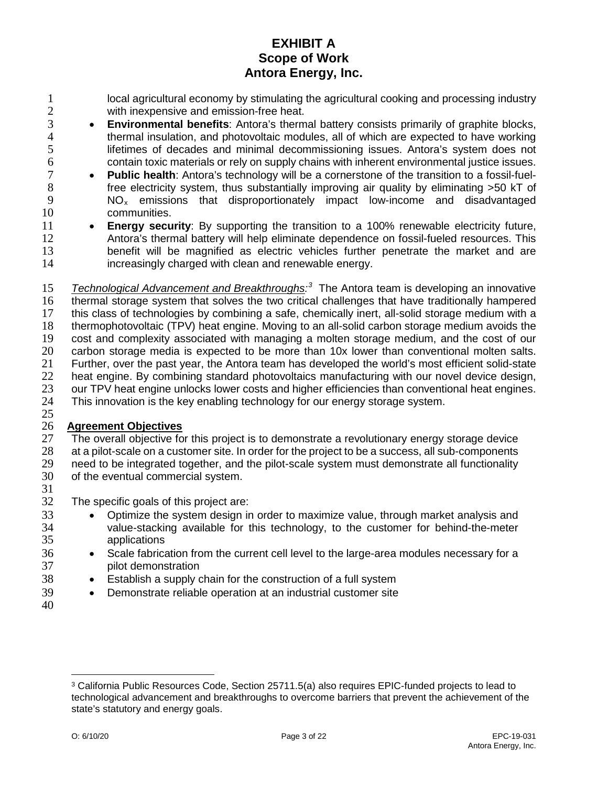- 1 local agricultural economy by stimulating the agricultural cooking and processing industry<br>2 with inexpensive and emission-free heat. with inexpensive and emission-free heat.
- **1 Environmental benefits**: Antora's thermal battery consists primarily of graphite blocks,<br>
4  **Constant** thermal insulation, and photovoltaic modules, all of which are expected to have working 4 thermal insulation, and photovoltaic modules, all of which are expected to have working<br>5 lifetimes of decades and minimal decommissioning issues. Antora's system does not lifetimes of decades and minimal decommissioning issues. Antora's system does not
- 6 contain toxic materials or rely on supply chains with inherent environmental justice issues.<br>7  **Public health**: Antora's technology will be a cornerstone of the transition to a fossil-fuel-**Public health**: Antora's technology will be a cornerstone of the transition to a fossil-fuel-<br>8 free electricity system, thus substantially improving air quality by eliminating >50 kT of 8 free electricity system, thus substantially improving air quality by eliminating  $>50$  kT of 9 MO<sub>x</sub> emissions that disproportionately impact low-income and disadvantaged  $NO<sub>x</sub>$  emissions that disproportionately impact low-income and disadvantaged 10 communities.
- 11 **Energy security**: By supporting the transition to a 100% renewable electricity future, 12 Antora's thermal battery will help eliminate dependence on fossil-fueled resources. This<br>13 benefit will be magnified as electric vehicles further penetrate the market and are benefit will be magnified as electric vehicles further penetrate the market and are 14 increasingly charged with clean and renewable energy.
- 15 *Technological Advancement and Breakthroughs*<sup>[3](#page-6-0)</sup> The Antora team is developing an innovative 16 thermal storage system that solves the two critical challenges that have traditionally hampered 17 this class of technologies by combining a safe, chemically inert, all-solid storage medium with a 18 thermophotovoltaic (TPV) heat engine. Moving to an all-solid carbon storage medium avoids the 19 cost and complexity associated with managing a molten storage medium, and the cost of our<br>20 carbon storage media is expected to be more than 10x lower than conventional molten salts. carbon storage media is expected to be more than 10x lower than conventional molten salts. 21 Further, over the past year, the Antora team has developed the world's most efficient solid-state<br>22 heat engine. By combining standard photovoltaics manufacturing with our novel device design, 22 heat engine. By combining standard photovoltaics manufacturing with our novel device design,<br>23 our TPV heat engine unlocks lower costs and higher efficiencies than conventional heat engines. 23 our TPV heat engine unlocks lower costs and higher efficiencies than conventional heat engines.<br>24 This innovation is the key enabling technology for our energy storage system. This innovation is the key enabling technology for our energy storage system. 25

### 26 **Agreement Objectives**

- 27 The overall objective for this project is to demonstrate a revolutionary energy storage device 28 at a pilot-scale on a customer site. In order for the project to be a success, all sub-components 29 need to be integrated together, and the pilot-scale system must demonstrate all functionality<br>30 of the eventual commercial system.
- of the eventual commercial system.
- 31
- 32 The specific goals of this project are:
- 33 Optimize the system design in order to maximize value, through market analysis and 34 value-stacking available for this technology, to the customer for behind-the-meter 35 applications
- 36 Scale fabrication from the current cell level to the large-area modules necessary for a 37 pilot demonstration
- 38 Establish a supply chain for the construction of a full system
- 39 Demonstrate reliable operation at an industrial customer site
- 40

<span id="page-6-0"></span> $\overline{a}$ <sup>3</sup> California Public Resources Code, Section 25711.5(a) also requires EPIC-funded projects to lead to technological advancement and breakthroughs to overcome barriers that prevent the achievement of the state's statutory and energy goals.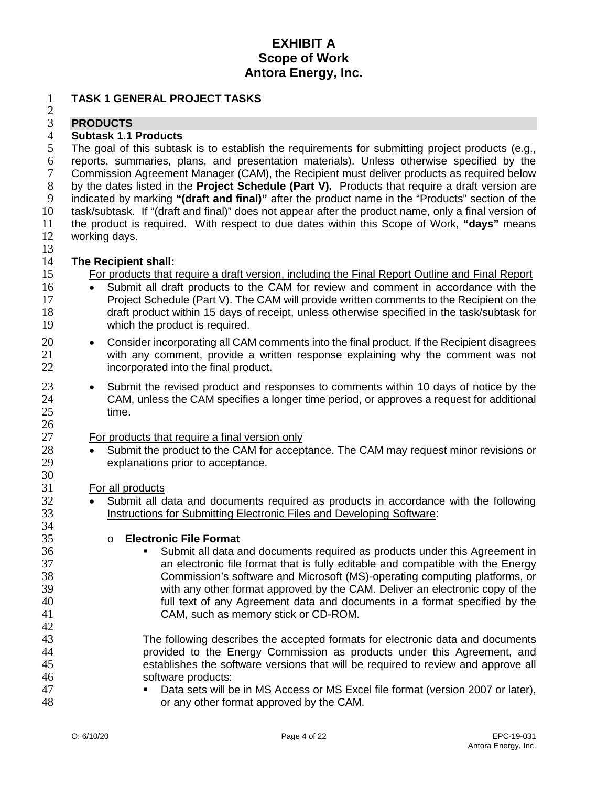#### 1 **TASK 1 GENERAL PROJECT TASKS**

#### $\frac{2}{3}$ 3 **PRODUCTS**

# 4 **Subtask 1.1 Products**

The goal of this subtask is to establish the requirements for submitting project products (e.g., reports, summaries, plans, and presentation materials). Unless otherwise specified by the 7 Commission Agreement Manager (CAM), the Recipient must deliver products as required below<br>8 by the dates listed in the **Project Schedule (Part V).** Products that require a draft version are by the dates listed in the **Project Schedule (Part V).** Products that require a draft version are indicated by marking **"(draft and final)"** after the product name in the "Products" section of the task/subtask. If "(draft and final)" does not appear after the product name, only a final version of the product is required. With respect to due dates within this Scope of Work, **"days"** means working days.

 $\frac{13}{14}$ 

 $\frac{26}{27}$ 

30

34

42<br>43

# 14 **The Recipient shall:**

15 For products that require a draft version, including the Final Report Outline and Final Report

- 16 Submit all draft products to the CAM for review and comment in accordance with the 17 **•** Project Schedule (Part V). The CAM will provide written comments to the Recipient on the Project Schedule (Part V). The CAM will provide written comments to the Recipient on the 18 draft product within 15 days of receipt, unless otherwise specified in the task/subtask for 19 which the product is required.
- 20 Consider incorporating all CAM comments into the final product. If the Recipient disagrees 21 with any comment, provide a written response explaining why the comment was not 22 incorporated into the final product.
- 23 Submit the revised product and responses to comments within 10 days of notice by the 24 CAM, unless the CAM specifies a longer time period, or approves a request for additional 25 time.

#### For products that require a final version only

28 • Submit the product to the CAM for acceptance. The CAM may request minor revisions or 29 explanations prior to acceptance.

#### 31 For all products

<sup>32</sup> • Submit all data and documents required as products in accordance with the following<br>33 **• Instructions for Submitting Electronic Files and Developing Software:** Instructions for Submitting Electronic Files and Developing Software:

# 35 o **Electronic File Format**

Submit all data and documents required as products under this Agreement in 37 an electronic file format that is fully editable and compatible with the Energy 38 Commission's software and Microsoft (MS)-operating computing platforms, or 39 with any other format approved by the CAM. Deliver an electronic copy of the<br>40 full text of any Agreement data and documents in a format specified by the 40 full text of any Agreement data and documents in a format specified by the 41 CAM, such as memory stick or CD-ROM.

The following describes the accepted formats for electronic data and documents provided to the Energy Commission as products under this Agreement, and establishes the software versions that will be required to review and approve all software products:

47 Data sets will be in MS Access or MS Excel file format (version 2007 or later), 48 or any other format approved by the CAM.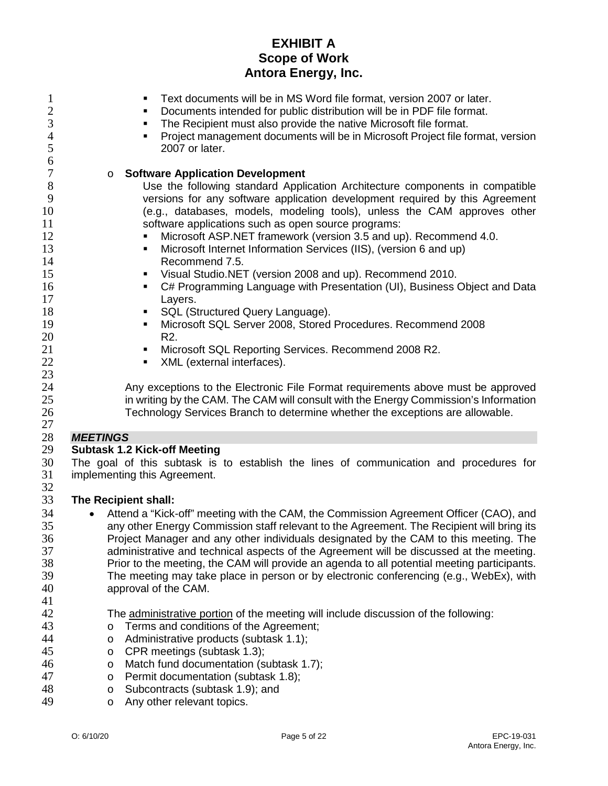| $\mathbf{1}$<br>$\mathbf{2}$<br>3<br>$\overline{4}$<br>5<br>6                           | Text documents will be in MS Word file format, version 2007 or later.<br>٠<br>Documents intended for public distribution will be in PDF file format.<br>The Recipient must also provide the native Microsoft file format.<br>٠<br>Project management documents will be in Microsoft Project file format, version<br>٠<br>2007 or later.                                                                                                                                                                                                                                                                                                                                                                                                                                                                                                                                           |
|-----------------------------------------------------------------------------------------|-----------------------------------------------------------------------------------------------------------------------------------------------------------------------------------------------------------------------------------------------------------------------------------------------------------------------------------------------------------------------------------------------------------------------------------------------------------------------------------------------------------------------------------------------------------------------------------------------------------------------------------------------------------------------------------------------------------------------------------------------------------------------------------------------------------------------------------------------------------------------------------|
| 7<br>$8\,$<br>9<br>10<br>11<br>12<br>13<br>14<br>15<br>16<br>17<br>18<br>19<br>20<br>21 | <b>Software Application Development</b><br>$\circ$<br>Use the following standard Application Architecture components in compatible<br>versions for any software application development required by this Agreement<br>(e.g., databases, models, modeling tools), unless the CAM approves other<br>software applications such as open source programs:<br>Microsoft ASP.NET framework (version 3.5 and up). Recommend 4.0.<br>Microsoft Internet Information Services (IIS), (version 6 and up)<br>٠<br>Recommend 7.5.<br>Visual Studio.NET (version 2008 and up). Recommend 2010.<br>٠<br>C# Programming Language with Presentation (UI), Business Object and Data<br>٠<br>Layers.<br>SQL (Structured Query Language).<br>٠<br>Microsoft SQL Server 2008, Stored Procedures. Recommend 2008<br>٠<br>R <sub>2</sub> .<br>Microsoft SQL Reporting Services. Recommend 2008 R2.<br>٠ |
| 22<br>23<br>24<br>25<br>26<br>27                                                        | XML (external interfaces).<br>٠<br>Any exceptions to the Electronic File Format requirements above must be approved<br>in writing by the CAM. The CAM will consult with the Energy Commission's Information<br>Technology Services Branch to determine whether the exceptions are allowable.                                                                                                                                                                                                                                                                                                                                                                                                                                                                                                                                                                                      |
| 28                                                                                      | <b>MEETINGS</b>                                                                                                                                                                                                                                                                                                                                                                                                                                                                                                                                                                                                                                                                                                                                                                                                                                                                   |
| 29                                                                                      | <b>Subtask 1.2 Kick-off Meeting</b>                                                                                                                                                                                                                                                                                                                                                                                                                                                                                                                                                                                                                                                                                                                                                                                                                                               |
| 30<br>31<br>32                                                                          | The goal of this subtask is to establish the lines of communication and procedures for<br>implementing this Agreement.                                                                                                                                                                                                                                                                                                                                                                                                                                                                                                                                                                                                                                                                                                                                                            |
| 33                                                                                      | The Recipient shall:                                                                                                                                                                                                                                                                                                                                                                                                                                                                                                                                                                                                                                                                                                                                                                                                                                                              |
| 34<br>35<br>36<br>37<br>38<br>39<br>40<br>41                                            | Attend a "Kick-off" meeting with the CAM, the Commission Agreement Officer (CAO), and<br>any other Energy Commission staff relevant to the Agreement. The Recipient will bring its<br>Project Manager and any other individuals designated by the CAM to this meeting. The<br>administrative and technical aspects of the Agreement will be discussed at the meeting.<br>Prior to the meeting, the CAM will provide an agenda to all potential meeting participants.<br>The meeting may take place in person or by electronic conferencing (e.g., WebEx), with<br>approval of the CAM.                                                                                                                                                                                                                                                                                            |
| 42                                                                                      | The administrative portion of the meeting will include discussion of the following:                                                                                                                                                                                                                                                                                                                                                                                                                                                                                                                                                                                                                                                                                                                                                                                               |
| 43                                                                                      | Terms and conditions of the Agreement;<br>$\circ$                                                                                                                                                                                                                                                                                                                                                                                                                                                                                                                                                                                                                                                                                                                                                                                                                                 |
| 44                                                                                      | Administrative products (subtask 1.1);<br>$\circ$                                                                                                                                                                                                                                                                                                                                                                                                                                                                                                                                                                                                                                                                                                                                                                                                                                 |
| 45                                                                                      | CPR meetings (subtask 1.3);<br>$\circ$                                                                                                                                                                                                                                                                                                                                                                                                                                                                                                                                                                                                                                                                                                                                                                                                                                            |
| 46                                                                                      | Match fund documentation (subtask 1.7);<br>$\circ$                                                                                                                                                                                                                                                                                                                                                                                                                                                                                                                                                                                                                                                                                                                                                                                                                                |
| 47                                                                                      | Permit documentation (subtask 1.8);<br>$\circ$                                                                                                                                                                                                                                                                                                                                                                                                                                                                                                                                                                                                                                                                                                                                                                                                                                    |
| 48                                                                                      | Subcontracts (subtask 1.9); and<br>$\circ$                                                                                                                                                                                                                                                                                                                                                                                                                                                                                                                                                                                                                                                                                                                                                                                                                                        |
| 49                                                                                      | Any other relevant topics.<br>$\circ$                                                                                                                                                                                                                                                                                                                                                                                                                                                                                                                                                                                                                                                                                                                                                                                                                                             |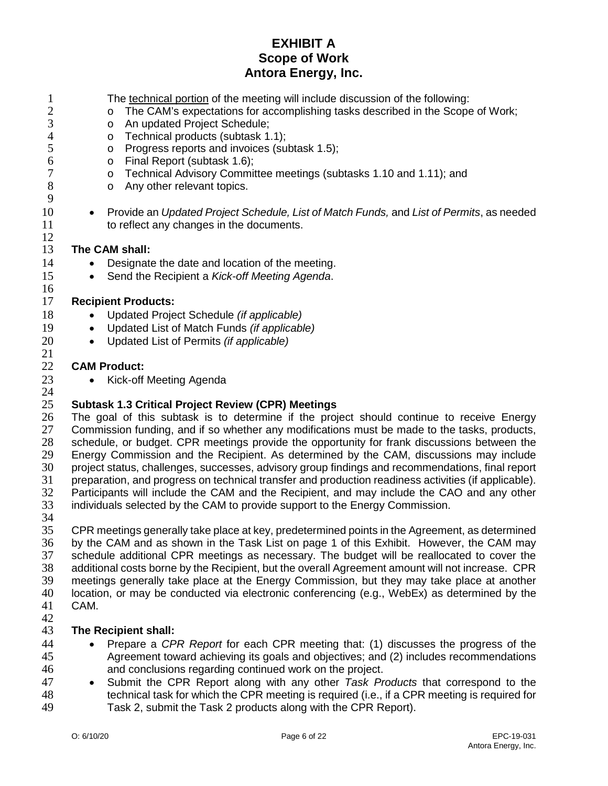| $\mathbf{1}$        | The technical portion of the meeting will include discussion of the following:                                                                                                            |
|---------------------|-------------------------------------------------------------------------------------------------------------------------------------------------------------------------------------------|
| $\overline{c}$<br>3 | The CAM's expectations for accomplishing tasks described in the Scope of Work;<br>$\circ$                                                                                                 |
| $\overline{4}$      | An updated Project Schedule;<br>$\circ$<br>Technical products (subtask 1.1);                                                                                                              |
| 5                   | $\circ$<br>Progress reports and invoices (subtask 1.5);                                                                                                                                   |
| 6                   | $\circ$<br>Final Report (subtask 1.6);<br>$\circ$                                                                                                                                         |
| $\tau$              | Technical Advisory Committee meetings (subtasks 1.10 and 1.11); and<br>$\circ$                                                                                                            |
| $8\,$               | Any other relevant topics.<br>$\circ$                                                                                                                                                     |
| 9                   |                                                                                                                                                                                           |
| 10                  | Provide an Updated Project Schedule, List of Match Funds, and List of Permits, as needed<br>$\bullet$                                                                                     |
| 11                  | to reflect any changes in the documents.                                                                                                                                                  |
| 12                  |                                                                                                                                                                                           |
| 13                  | The CAM shall:                                                                                                                                                                            |
| 14                  | Designate the date and location of the meeting.                                                                                                                                           |
| 15                  | Send the Recipient a Kick-off Meeting Agenda.<br>$\bullet$                                                                                                                                |
| 16                  |                                                                                                                                                                                           |
| 17                  | <b>Recipient Products:</b>                                                                                                                                                                |
| 18                  | Updated Project Schedule (if applicable)                                                                                                                                                  |
| 19                  | Updated List of Match Funds (if applicable)<br>$\bullet$                                                                                                                                  |
| 20                  | Updated List of Permits (if applicable)<br>$\bullet$                                                                                                                                      |
| 21                  |                                                                                                                                                                                           |
| 22                  | <b>CAM Product:</b>                                                                                                                                                                       |
| 23                  | Kick-off Meeting Agenda<br>$\bullet$                                                                                                                                                      |
| 24                  |                                                                                                                                                                                           |
| 25                  | <b>Subtask 1.3 Critical Project Review (CPR) Meetings</b>                                                                                                                                 |
| 26<br>27            | The goal of this subtask is to determine if the project should continue to receive Energy<br>Commission funding, and if so whether any modifications must be made to the tasks, products, |
| 28                  | schedule, or budget. CPR meetings provide the opportunity for frank discussions between the                                                                                               |
| 29                  | Energy Commission and the Recipient. As determined by the CAM, discussions may include                                                                                                    |
| 30                  | project status, challenges, successes, advisory group findings and recommendations, final report                                                                                          |
| 31                  | preparation, and progress on technical transfer and production readiness activities (if applicable).                                                                                      |
| 32                  | Participants will include the CAM and the Recipient, and may include the CAO and any other                                                                                                |
| 33                  | individuals selected by the CAM to provide support to the Energy Commission.                                                                                                              |
| 34                  |                                                                                                                                                                                           |
| 35                  | CPR meetings generally take place at key, predetermined points in the Agreement, as determined                                                                                            |
|                     |                                                                                                                                                                                           |

 by the CAM and as shown in the Task List on page 1 of this Exhibit. However, the CAM may 37 schedule additional CPR meetings as necessary. The budget will be reallocated to cover the 38 additional costs borne by the Recipient, but the overall Agreement amount will not increase. CPR 38 additional costs borne by the Recipient, but the overall Agreement amount will not increase. CPR<br>39 meetings generally take place at the Energy Commission, but they may take place at another meetings generally take place at the Energy Commission, but they may take place at another 40 location, or may be conducted via electronic conferencing (e.g., WebEx) as determined by the 41 CAM. CAM.

#### $\frac{42}{43}$ **The Recipient shall:**

- Prepare a *CPR Report* for each CPR meeting that: (1) discusses the progress of the 45 Agreement toward achieving its goals and objectives; and (2) includes recommendations<br>46 and conclusions regarding continued work on the project. and conclusions regarding continued work on the project.
- Submit the CPR Report along with any other *Task Products* that correspond to the technical task for which the CPR meeting is required (i.e., if a CPR meeting is required for Task 2, submit the Task 2 products along with the CPR Report).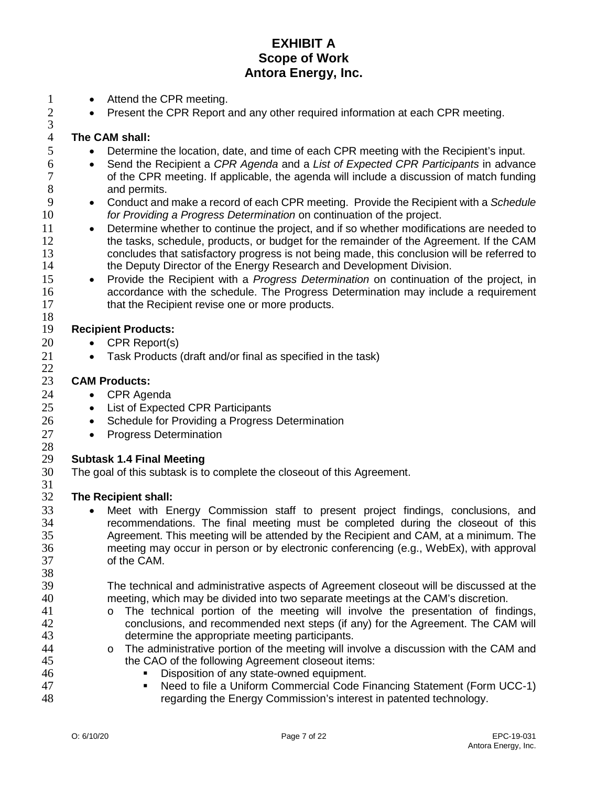- 1 Attend the CPR meeting.<br>2 Present the CPR Report
	- Present the CPR Report and any other required information at each CPR meeting.

#### 4 **The CAM shall:**

 $\frac{3}{4}$ 

- 5 Determine the location, date, and time of each CPR meeting with the Recipient's input.
- 6 Send the Recipient a *CPR Agenda* and a *List of Expected CPR Participants* in advance 7 of the CPR meeting. If applicable, the agenda will include a discussion of match funding<br>8 and permits. 8 and permits.<br>9 • Conduct and
- 9 Conduct and make a record of each CPR meeting. Provide the Recipient with a *Schedule*  10 *for Providing a Progress Determination* on continuation of the project.
- 11 Determine whether to continue the project, and if so whether modifications are needed to the tasks. schedule. products. or budget for the remainder of the Agreement. If the CAM 12 the tasks, schedule, products, or budget for the remainder of the Agreement. If the CAM 13 concludes that satisfactory progress is not being made, this conclusion will be referred to
- the Deputy Director of the Energy Research and Development Division.<br>15 Provide the Recipient with a Progress Determination on continuation • Provide the Recipient with a *Progress Determination* on continuation of the project, in 16 accordance with the schedule. The Progress Determination may include a requirement 17 that the Recipient revise one or more products.

#### 18<br>19 **Recipient Products:**

- 20 CPR Report(s)
- 21 Task Products (draft and/or final as specified in the task)

#### $\frac{22}{23}$ **CAM Products:**

- 24 CPR Agenda
- 25 List of Expected CPR Participants
- 26 Schedule for Providing a Progress Determination
- 27 Progress Determination

# $\frac{28}{29}$

# 29 **Subtask 1.4 Final Meeting**

- The goal of this subtask is to complete the closeout of this Agreement.
- 31<br>32

38

#### **The Recipient shall:**

- 33 Meet with Energy Commission staff to present project findings, conclusions, and 34 recommendations. The final meeting must be completed during the closeout of this 35 Agreement. This meeting will be attended by the Recipient and CAM, at a minimum. The 36 meeting may occur in person or by electronic conferencing (e.g., WebEx), with approval of the CAM.
- 39 The technical and administrative aspects of Agreement closeout will be discussed at the 40 meeting, which may be divided into two separate meetings at the CAM's discretion.
- 41 o The technical portion of the meeting will involve the presentation of findings,<br>42 conclusions, and recommended next steps (if any) for the Agreement. The CAM will conclusions, and recommended next steps (if any) for the Agreement. The CAM will 43 determine the appropriate meeting participants.
- 44 o The administrative portion of the meeting will involve a discussion with the CAM and the CAO of the following Agreement closeout items: the CAO of the following Agreement closeout items:
- 46 Disposition of any state-owned equipment.
- 47 **Need to file a Uniform Commercial Code Financing Statement (Form UCC-1)**<br>48 **All Energy Commission's interest in patented technology.** regarding the Energy Commission's interest in patented technology.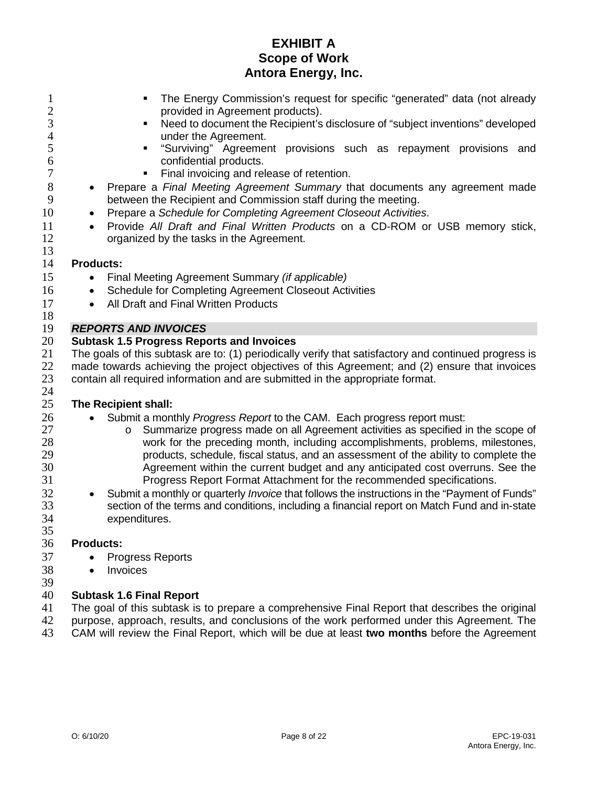| $\mathbf{1}$<br>$\overline{2}$             | The Energy Commission's request for specific "generated" data (not already<br>provided in Agreement products).                                |
|--------------------------------------------|-----------------------------------------------------------------------------------------------------------------------------------------------|
| $\overline{3}$<br>$\overline{\mathcal{A}}$ | Need to document the Recipient's disclosure of "subject inventions" developed<br>$\blacksquare$<br>under the Agreement.                       |
| 5<br>6                                     | "Surviving" Agreement provisions such as repayment provisions and<br>$\blacksquare$<br>confidential products.                                 |
| $\boldsymbol{7}$                           | Final invoicing and release of retention.<br>$\blacksquare$                                                                                   |
| 8<br>9                                     | Prepare a Final Meeting Agreement Summary that documents any agreement made<br>between the Recipient and Commission staff during the meeting. |
| 10                                         | Prepare a Schedule for Completing Agreement Closeout Activities.                                                                              |
| 11<br>12                                   | Provide All Draft and Final Written Products on a CD-ROM or USB memory stick,<br>$\bullet$<br>organized by the tasks in the Agreement.        |
| 13                                         |                                                                                                                                               |
| 14                                         | <b>Products:</b>                                                                                                                              |
| 15                                         | Final Meeting Agreement Summary (if applicable)                                                                                               |
| 16                                         | Schedule for Completing Agreement Closeout Activities<br>$\bullet$                                                                            |
| 17                                         | All Draft and Final Written Products<br>$\bullet$                                                                                             |
| 18                                         |                                                                                                                                               |
| 19                                         | <b>REPORTS AND INVOICES</b>                                                                                                                   |
| 20                                         | <b>Subtask 1.5 Progress Reports and Invoices</b>                                                                                              |
| 21                                         | The goals of this subtask are to: (1) periodically verify that satisfactory and continued progress is                                         |
| 22                                         | made towards achieving the project objectives of this Agreement; and (2) ensure that invoices                                                 |
| 23                                         | contain all required information and are submitted in the appropriate format.                                                                 |
| 24                                         |                                                                                                                                               |
| 25                                         | The Recipient shall:                                                                                                                          |
| 26                                         | Submit a monthly Progress Report to the CAM. Each progress report must:                                                                       |
| 27                                         | Summarize progress made on all Agreement activities as specified in the scope of<br>$\circ$                                                   |
| 28                                         | work for the preceding month, including accomplishments, problems, milestones,                                                                |
| 29                                         | products, schedule, fiscal status, and an assessment of the ability to complete the                                                           |
| 30                                         | Agreement within the current budget and any anticipated cost overruns. See the                                                                |
| 31                                         | Progress Report Format Attachment for the recommended specifications.                                                                         |
| 32                                         | Submit a monthly or quarterly Invoice that follows the instructions in the "Payment of Funds"<br>$\bullet$                                    |
| 33                                         | section of the terms and conditions, including a financial report on Match Fund and in-state                                                  |
| 34                                         | expenditures.                                                                                                                                 |
| 35                                         |                                                                                                                                               |
| 36                                         | <b>Products:</b>                                                                                                                              |
| 37                                         | <b>Progress Reports</b>                                                                                                                       |
| 38                                         | Invoices                                                                                                                                      |
| 39<br>40                                   |                                                                                                                                               |
|                                            | <b>Subtask 1.6 Final Report</b>                                                                                                               |

41 The goal of this subtask is to prepare a comprehensive Final Report that describes the original<br>42 purpose, approach, results, and conclusions of the work performed under this Agreement. The 42 purpose, approach, results, and conclusions of the work performed under this Agreement. The 43 CAM will review the Final Report, which will be due at least two months before the Agreement CAM will review the Final Report, which will be due at least **two months** before the Agreement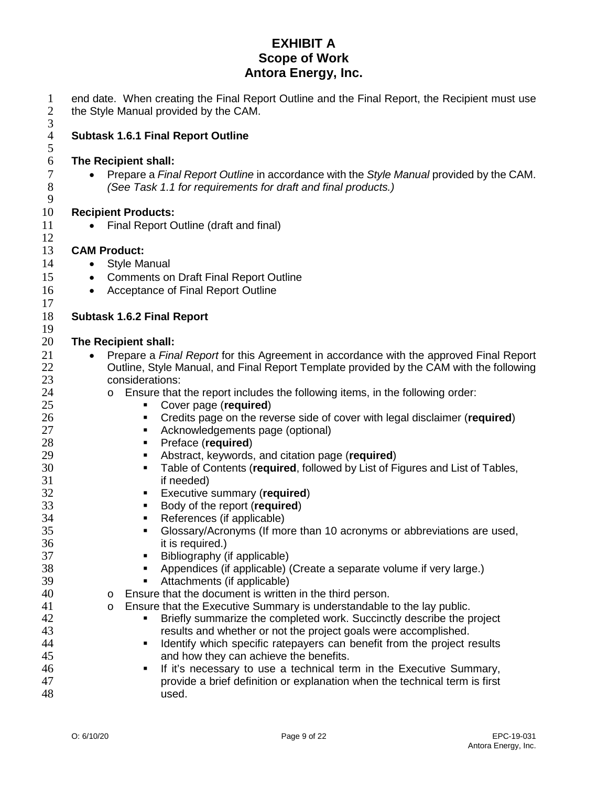| $\mathbf{1}$<br>$\overline{c}$<br>$\overline{3}$ | end date. When creating the Final Report Outline and the Final Report, the Recipient must use<br>the Style Manual provided by the CAM.                   |
|--------------------------------------------------|----------------------------------------------------------------------------------------------------------------------------------------------------------|
| $\overline{\mathcal{A}}$<br>5                    | <b>Subtask 1.6.1 Final Report Outline</b>                                                                                                                |
| 6                                                | The Recipient shall:                                                                                                                                     |
| $\tau$<br>$8\,$<br>$\mathbf{9}$                  | Prepare a Final Report Outline in accordance with the Style Manual provided by the CAM.<br>(See Task 1.1 for requirements for draft and final products.) |
| 10                                               | <b>Recipient Products:</b>                                                                                                                               |
| 11<br>12                                         | Final Report Outline (draft and final)                                                                                                                   |
| 13                                               | <b>CAM Product:</b>                                                                                                                                      |
| 14                                               | <b>Style Manual</b><br>$\bullet$                                                                                                                         |
| 15                                               | <b>Comments on Draft Final Report Outline</b><br>$\bullet$                                                                                               |
| 16                                               | Acceptance of Final Report Outline<br>$\bullet$                                                                                                          |
| 17                                               |                                                                                                                                                          |
| 18                                               | <b>Subtask 1.6.2 Final Report</b>                                                                                                                        |
| 19                                               |                                                                                                                                                          |
| 20                                               | The Recipient shall:                                                                                                                                     |
| 21                                               | Prepare a Final Report for this Agreement in accordance with the approved Final Report                                                                   |
| 22                                               | Outline, Style Manual, and Final Report Template provided by the CAM with the following                                                                  |
| 23                                               | considerations:                                                                                                                                          |
| 24<br>25                                         | Ensure that the report includes the following items, in the following order:<br>$\circ$<br>Cover page (required)<br>٠                                    |
| 26                                               | Credits page on the reverse side of cover with legal disclaimer (required)<br>٠                                                                          |
| 27                                               | Acknowledgements page (optional)<br>٠                                                                                                                    |
| 28                                               | Preface (required)<br>٠                                                                                                                                  |
| 29                                               | Abstract, keywords, and citation page (required)<br>٠                                                                                                    |
| 30                                               | Table of Contents (required, followed by List of Figures and List of Tables,<br>٠                                                                        |
| 31                                               | if needed)                                                                                                                                               |
| 32                                               | Executive summary (required)<br>п.                                                                                                                       |
| 33                                               | Body of the report (required)                                                                                                                            |
| 34                                               | References (if applicable)<br>٠                                                                                                                          |
| 35                                               | Glossary/Acronyms (If more than 10 acronyms or abbreviations are used,                                                                                   |
| 36                                               | it is required.)                                                                                                                                         |
| 37                                               | Bibliography (if applicable)<br>٠                                                                                                                        |
| 38                                               | Appendices (if applicable) (Create a separate volume if very large.)<br>٠<br>٠                                                                           |
| 39<br>40                                         | Attachments (if applicable)<br>Ensure that the document is written in the third person.<br>$\circ$                                                       |
| 41                                               | Ensure that the Executive Summary is understandable to the lay public.<br>$\circ$                                                                        |
| 42                                               | Briefly summarize the completed work. Succinctly describe the project<br>٠                                                                               |
| 43                                               | results and whether or not the project goals were accomplished.                                                                                          |
| 44                                               | Identify which specific ratepayers can benefit from the project results<br>٠                                                                             |
| 45                                               | and how they can achieve the benefits.                                                                                                                   |
| 46                                               | If it's necessary to use a technical term in the Executive Summary,<br>٠                                                                                 |
| 47                                               | provide a brief definition or explanation when the technical term is first                                                                               |
| 48                                               | used.                                                                                                                                                    |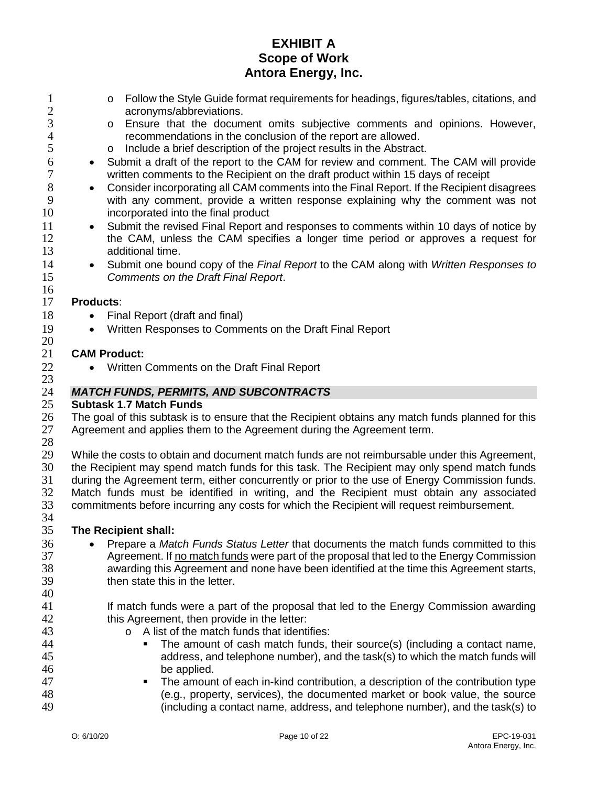- 1 o Follow the Style Guide format requirements for headings, figures/tables, citations, and<br>2 acronyms/abbreviations. 2 acronyms/abbreviations.<br>3 o Ensure that the docum
- 3 o Ensure that the document omits subjective comments and opinions. However,<br>4 recommendations in the conclusion of the report are allowed. 4 recommendations in the conclusion of the report are allowed.<br>5 o lnclude a brief description of the project results in the Abstract
- 5 o Include a brief description of the project results in the Abstract.<br>6 Submit a draft of the report to the CAM for review and comment.
- 6 Submit a draft of the report to the CAM for review and comment. The CAM will provide<br>7 written comments to the Recipient on the draft product within 15 days of receipt 7 written comments to the Recipient on the draft product within 15 days of receipt<br>8 Consider incorporating all CAM comments into the Final Report. If the Recipient c
- 8 Consider incorporating all CAM comments into the Final Report. If the Recipient disagrees<br>9 with any comment, provide a written response explaining why the comment was not with any comment, provide a written response explaining why the comment was not 10 incorporated into the final product
- 11 Submit the revised Final Report and responses to comments within 10 days of notice by 12 the CAM, unless the CAM specifies a longer time period or approves a request for additional time. additional time.
- 14 Submit one bound copy of the *Final Report* to the CAM along with *Written Responses to*  15 *Comments on the Draft Final Report*.

#### $\frac{16}{17}$ Products:

- 18 Final Report (draft and final)
- 19 Written Responses to Comments on the Draft Final Report

#### $\frac{20}{21}$ **CAM Product:**

22 • Written Comments on the Draft Final Report

# 24 *MATCH FUNDS, PERMITS, AND SUBCONTRACTS*

#### 25 **Subtask 1.7 Match Funds**

26 The goal of this subtask is to ensure that the Recipient obtains any match funds planned for this 27 Agreement and applies them to the Agreement during the Agreement term.

 $\frac{28}{29}$ 

23

29 While the costs to obtain and document match funds are not reimbursable under this Agreement,<br>30 the Recipient may spend match funds for this task. The Recipient may only spend match funds 30 the Recipient may spend match funds for this task. The Recipient may only spend match funds<br>31 during the Agreement term, either concurrently or prior to the use of Energy Commission funds. 31 during the Agreement term, either concurrently or prior to the use of Energy Commission funds.<br>32 Match funds must be identified in writing, and the Recipient must obtain any associated Match funds must be identified in writing, and the Recipient must obtain any associated 33 commitments before incurring any costs for which the Recipient will request reimbursement.

#### 34<br>35 35 **The Recipient shall:**

- <sup>36</sup> Prepare a *Match Funds Status Letter* that documents the match funds committed to this<br>37  **Agreement. If no match funds were part of the proposal that led to the Energy Commission** 37 Agreement. If <u>no match funds</u> were part of the proposal that led to the Energy Commission<br>38 awarding this Agreement and none have been identified at the time this Agreement starts, awarding this Agreement and none have been identified at the time this Agreement starts, 39 then state this in the letter.
- 40
- 41 If match funds were a part of the proposal that led to the Energy Commission awarding 42 this Agreement, then provide in the letter:
- 43 **43** o A list of the match funds that identifies:<br>44 **Figure 1** The amount of cash match funds.
- 44 The amount of cash match funds, their source(s) (including a contact name,<br>45 address, and telephone number), and the task(s) to which the match funds will address, and telephone number), and the task(s) to which the match funds will 46 be applied.
- 47 **The amount of each in-kind contribution, a description of the contribution type** 48 (e.g., property, services), the documented market or book value, the source 49 (including a contact name, address, and telephone number), and the task(s) to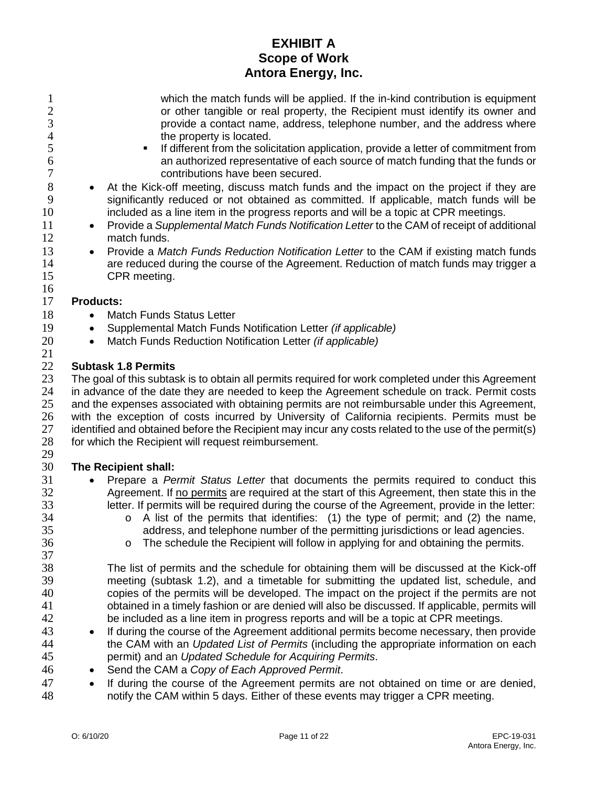| 1<br>$\frac{2}{3}$<br>$\overline{4}$<br>5<br>6<br>7<br>8<br>9<br>10<br>11<br>12<br>13<br>14 | which the match funds will be applied. If the in-kind contribution is equipment<br>or other tangible or real property, the Recipient must identify its owner and<br>provide a contact name, address, telephone number, and the address where<br>the property is located.<br>If different from the solicitation application, provide a letter of commitment from<br>an authorized representative of each source of match funding that the funds or<br>contributions have been secured.<br>At the Kick-off meeting, discuss match funds and the impact on the project if they are<br>significantly reduced or not obtained as committed. If applicable, match funds will be<br>included as a line item in the progress reports and will be a topic at CPR meetings.<br>Provide a Supplemental Match Funds Notification Letter to the CAM of receipt of additional<br>$\bullet$<br>match funds.<br>Provide a Match Funds Reduction Notification Letter to the CAM if existing match funds<br>are reduced during the course of the Agreement. Reduction of match funds may trigger a |
|---------------------------------------------------------------------------------------------|----------------------------------------------------------------------------------------------------------------------------------------------------------------------------------------------------------------------------------------------------------------------------------------------------------------------------------------------------------------------------------------------------------------------------------------------------------------------------------------------------------------------------------------------------------------------------------------------------------------------------------------------------------------------------------------------------------------------------------------------------------------------------------------------------------------------------------------------------------------------------------------------------------------------------------------------------------------------------------------------------------------------------------------------------------------------------------|
| 15                                                                                          | CPR meeting.                                                                                                                                                                                                                                                                                                                                                                                                                                                                                                                                                                                                                                                                                                                                                                                                                                                                                                                                                                                                                                                                     |
| 16                                                                                          |                                                                                                                                                                                                                                                                                                                                                                                                                                                                                                                                                                                                                                                                                                                                                                                                                                                                                                                                                                                                                                                                                  |
| 17                                                                                          | <b>Products:</b>                                                                                                                                                                                                                                                                                                                                                                                                                                                                                                                                                                                                                                                                                                                                                                                                                                                                                                                                                                                                                                                                 |
| 18                                                                                          | <b>Match Funds Status Letter</b>                                                                                                                                                                                                                                                                                                                                                                                                                                                                                                                                                                                                                                                                                                                                                                                                                                                                                                                                                                                                                                                 |
| 19                                                                                          | Supplemental Match Funds Notification Letter (if applicable)<br>٠                                                                                                                                                                                                                                                                                                                                                                                                                                                                                                                                                                                                                                                                                                                                                                                                                                                                                                                                                                                                                |
| 20                                                                                          | Match Funds Reduction Notification Letter (if applicable)<br>$\bullet$                                                                                                                                                                                                                                                                                                                                                                                                                                                                                                                                                                                                                                                                                                                                                                                                                                                                                                                                                                                                           |
| 21                                                                                          |                                                                                                                                                                                                                                                                                                                                                                                                                                                                                                                                                                                                                                                                                                                                                                                                                                                                                                                                                                                                                                                                                  |
| 22                                                                                          | <b>Subtask 1.8 Permits</b>                                                                                                                                                                                                                                                                                                                                                                                                                                                                                                                                                                                                                                                                                                                                                                                                                                                                                                                                                                                                                                                       |
| 23                                                                                          | The goal of this subtask is to obtain all permits required for work completed under this Agreement                                                                                                                                                                                                                                                                                                                                                                                                                                                                                                                                                                                                                                                                                                                                                                                                                                                                                                                                                                               |
| 24                                                                                          | in advance of the date they are needed to keep the Agreement schedule on track. Permit costs                                                                                                                                                                                                                                                                                                                                                                                                                                                                                                                                                                                                                                                                                                                                                                                                                                                                                                                                                                                     |
| 25                                                                                          | and the expenses associated with obtaining permits are not reimbursable under this Agreement,                                                                                                                                                                                                                                                                                                                                                                                                                                                                                                                                                                                                                                                                                                                                                                                                                                                                                                                                                                                    |
| 26                                                                                          | with the exception of costs incurred by University of California recipients. Permits must be                                                                                                                                                                                                                                                                                                                                                                                                                                                                                                                                                                                                                                                                                                                                                                                                                                                                                                                                                                                     |
| 27<br>28                                                                                    | identified and obtained before the Recipient may incur any costs related to the use of the permit(s)                                                                                                                                                                                                                                                                                                                                                                                                                                                                                                                                                                                                                                                                                                                                                                                                                                                                                                                                                                             |
| 29                                                                                          | for which the Recipient will request reimbursement.                                                                                                                                                                                                                                                                                                                                                                                                                                                                                                                                                                                                                                                                                                                                                                                                                                                                                                                                                                                                                              |
| 30                                                                                          | The Recipient shall:                                                                                                                                                                                                                                                                                                                                                                                                                                                                                                                                                                                                                                                                                                                                                                                                                                                                                                                                                                                                                                                             |
| 31                                                                                          |                                                                                                                                                                                                                                                                                                                                                                                                                                                                                                                                                                                                                                                                                                                                                                                                                                                                                                                                                                                                                                                                                  |
| 32                                                                                          | Prepare a Permit Status Letter that documents the permits required to conduct this<br>Agreement. If no permits are required at the start of this Agreement, then state this in the                                                                                                                                                                                                                                                                                                                                                                                                                                                                                                                                                                                                                                                                                                                                                                                                                                                                                               |
| 33                                                                                          | letter. If permits will be required during the course of the Agreement, provide in the letter:                                                                                                                                                                                                                                                                                                                                                                                                                                                                                                                                                                                                                                                                                                                                                                                                                                                                                                                                                                                   |
| 34                                                                                          | $\circ$ A list of the permits that identifies: (1) the type of permit; and (2) the name,                                                                                                                                                                                                                                                                                                                                                                                                                                                                                                                                                                                                                                                                                                                                                                                                                                                                                                                                                                                         |
| 35                                                                                          | address, and telephone number of the permitting jurisdictions or lead agencies.                                                                                                                                                                                                                                                                                                                                                                                                                                                                                                                                                                                                                                                                                                                                                                                                                                                                                                                                                                                                  |
| 36                                                                                          | The schedule the Recipient will follow in applying for and obtaining the permits.<br>O                                                                                                                                                                                                                                                                                                                                                                                                                                                                                                                                                                                                                                                                                                                                                                                                                                                                                                                                                                                           |
| 37                                                                                          |                                                                                                                                                                                                                                                                                                                                                                                                                                                                                                                                                                                                                                                                                                                                                                                                                                                                                                                                                                                                                                                                                  |
| 38                                                                                          | The list of permits and the schedule for obtaining them will be discussed at the Kick-off                                                                                                                                                                                                                                                                                                                                                                                                                                                                                                                                                                                                                                                                                                                                                                                                                                                                                                                                                                                        |
| 39                                                                                          | meeting (subtask 1.2), and a timetable for submitting the updated list, schedule, and                                                                                                                                                                                                                                                                                                                                                                                                                                                                                                                                                                                                                                                                                                                                                                                                                                                                                                                                                                                            |
| 40                                                                                          | copies of the permits will be developed. The impact on the project if the permits are not                                                                                                                                                                                                                                                                                                                                                                                                                                                                                                                                                                                                                                                                                                                                                                                                                                                                                                                                                                                        |
| 41                                                                                          | obtained in a timely fashion or are denied will also be discussed. If applicable, permits will                                                                                                                                                                                                                                                                                                                                                                                                                                                                                                                                                                                                                                                                                                                                                                                                                                                                                                                                                                                   |
| 42                                                                                          | be included as a line item in progress reports and will be a topic at CPR meetings.                                                                                                                                                                                                                                                                                                                                                                                                                                                                                                                                                                                                                                                                                                                                                                                                                                                                                                                                                                                              |
| 43                                                                                          | If during the course of the Agreement additional permits become necessary, then provide                                                                                                                                                                                                                                                                                                                                                                                                                                                                                                                                                                                                                                                                                                                                                                                                                                                                                                                                                                                          |
| 44                                                                                          | the CAM with an Updated List of Permits (including the appropriate information on each                                                                                                                                                                                                                                                                                                                                                                                                                                                                                                                                                                                                                                                                                                                                                                                                                                                                                                                                                                                           |
| 45                                                                                          | permit) and an Updated Schedule for Acquiring Permits.                                                                                                                                                                                                                                                                                                                                                                                                                                                                                                                                                                                                                                                                                                                                                                                                                                                                                                                                                                                                                           |
| 46                                                                                          | Send the CAM a Copy of Each Approved Permit.                                                                                                                                                                                                                                                                                                                                                                                                                                                                                                                                                                                                                                                                                                                                                                                                                                                                                                                                                                                                                                     |
| 47                                                                                          | If during the course of the Agreement permits are not obtained on time or are denied,<br>$\bullet$                                                                                                                                                                                                                                                                                                                                                                                                                                                                                                                                                                                                                                                                                                                                                                                                                                                                                                                                                                               |
| 48                                                                                          | notify the CAM within 5 days. Either of these events may trigger a CPR meeting.                                                                                                                                                                                                                                                                                                                                                                                                                                                                                                                                                                                                                                                                                                                                                                                                                                                                                                                                                                                                  |
|                                                                                             |                                                                                                                                                                                                                                                                                                                                                                                                                                                                                                                                                                                                                                                                                                                                                                                                                                                                                                                                                                                                                                                                                  |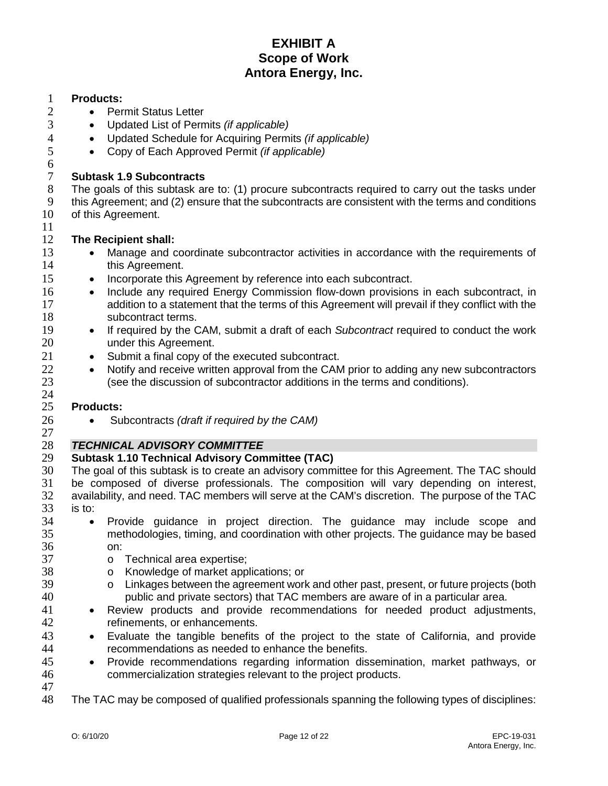# **Products:**

- Permit Status Letter
- Updated List of Permits *(if applicable)*
- Updated Schedule for Acquiring Permits *(if applicable)*
- Copy of Each Approved Permit *(if applicable)*

# **Subtask 1.9 Subcontracts**

8 The goals of this subtask are to: (1) procure subcontracts required to carry out the tasks under<br>9 this Agreement: and (2) ensure that the subcontracts are consistent with the terms and conditions 9 this Agreement; and (2) ensure that the subcontracts are consistent with the terms and conditions 10 of this Agreement. of this Agreement.

#### **The Recipient shall:**

- 13 Manage and coordinate subcontractor activities in accordance with the requirements of **this Agreement.**
- 15 Incorporate this Agreement by reference into each subcontract.
- Include any required Energy Commission flow-down provisions in each subcontract, in addition to a statement that the terms of this Agreement will prevail if they conflict with the 18 subcontract terms.
- If required by the CAM, submit a draft of each *Subcontract* required to conduct the work under this Agreement.
- Submit a final copy of the executed subcontract.
- <sup>22</sup> Notify and receive written approval from the CAM prior to adding any new subcontractors<br><sup>23</sup> (see the discussion of subcontractor additions in the terms and conditions). (see the discussion of subcontractor additions in the terms and conditions).

#### **Products:**

• Subcontracts *(draft if required by the CAM)*

# *TECHNICAL ADVISORY COMMITTEE*

# **Subtask 1.10 Technical Advisory Committee (TAC)**

- The goal of this subtask is to create an advisory committee for this Agreement. The TAC should be composed of diverse professionals. The composition will vary depending on interest, availability, and need. TAC members will serve at the CAM's discretion. The purpose of the TAC is to:
- Provide guidance in project direction. The guidance may include scope and methodologies, timing, and coordination with other projects. The guidance may be based  $\frac{36}{37}$  on:
- 37 o Technical area expertise;<br>38 o Knowledge of market app
	-
- 38 o Knowledge of market applications; or<br>39 o Linkages between the agreement work 39 o Linkages between the agreement work and other past, present, or future projects (both <br>40 oublic and private sectors) that TAC members are aware of in a particular area. public and private sectors) that TAC members are aware of in a particular area.
- Review products and provide recommendations for needed product adjustments, refinements, or enhancements.
- Evaluate the tangible benefits of the project to the state of California, and provide recommendations as needed to enhance the benefits.
- Provide recommendations regarding information dissemination, market pathways, or commercialization strategies relevant to the project products.
- The TAC may be composed of qualified professionals spanning the following types of disciplines: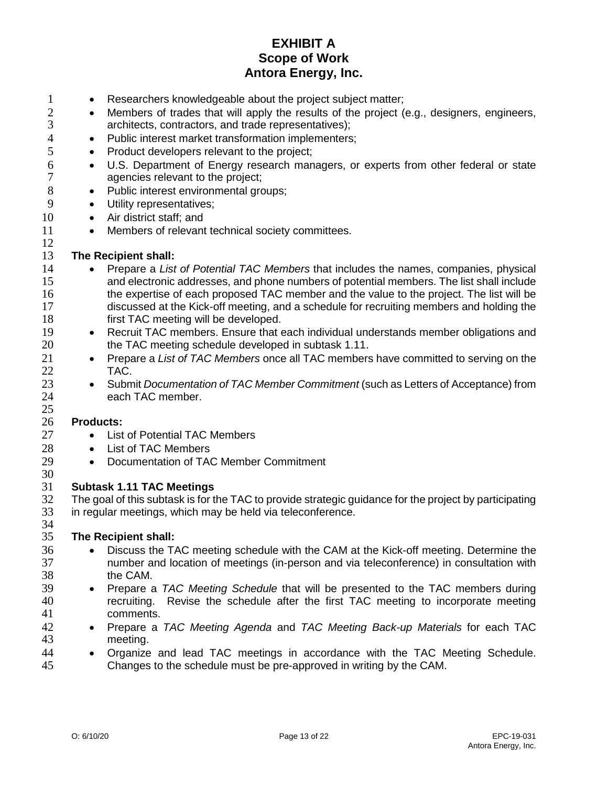- 1 Researchers knowledgeable about the project subject matter;<br>2 Members of trades that will apply the results of the project (
- Members of trades that will apply the results of the project (e.g., designers, engineers, 3 architects, contractors, and trade representatives);
- 4 Public interest market transformation implementers;
- 5 Product developers relevant to the project;
- 6 U.S. Department of Energy research managers, or experts from other federal or state<br>7 agencies relevant to the project: agencies relevant to the project;
- 8 Public interest environmental groups;<br>9 Utility representatives:
	- Utility representatives:
- 10 Air district staff; and
- 11 Members of relevant technical society committees.

#### $\frac{12}{13}$ **The Recipient shall:**

- 14 Prepare a *List of Potential TAC Members* that includes the names, companies, physical 15 and electronic addresses, and phone numbers of potential members. The list shall include<br>16 the expertise of each proposed TAC member and the value to the project. The list will be the expertise of each proposed TAC member and the value to the project. The list will be 17 discussed at the Kick-off meeting, and a schedule for recruiting members and holding the 18 **first TAC meeting will be developed.**
- 19 Recruit TAC members. Ensure that each individual understands member obligations and<br>20  **TAC** meeting schedule developed in subtask 1.11. the TAC meeting schedule developed in subtask 1.11.
- 21 Prepare a *List of TAC Members* once all TAC members have committed to serving on the 22 TAC.<br>23 • Subm
- 23 Submit *Documentation of TAC Member Commitment* (such as Letters of Acceptance) from 24 each TAC member.

#### 26 **Products:**

25

- 27 List of Potential TAC Members
- 28 List of TAC Members
- 29 Documentation of TAC Member Commitment

#### 30<br>31 31 **Subtask 1.11 TAC Meetings**

32 The goal of this subtask is for the TAC to provide strategic guidance for the project by participating 33 in regular meetings, which may be held via teleconference.

#### 34<br>35 35 **The Recipient shall:**

- <sup>36</sup> Discuss the TAC meeting schedule with the CAM at the Kick-off meeting. Determine the<br>37  **The mumber and location of meetings (in-person and via teleconference) in consultation with** number and location of meetings (in-person and via teleconference) in consultation with 38 the CAM.
- 39 Prepare a *TAC Meeting Schedule* that will be presented to the TAC members during 40 recruiting. Revise the schedule after the first TAC meeting to incorporate meeting 41 comments.
- 42 Prepare a *TAC Meeting Agenda* and *TAC Meeting Back-up Materials* for each TAC meeting.
- **44** Organize and lead TAC meetings in accordance with the TAC Meeting Schedule.<br>45 Changes to the schedule must be pre-approved in writing by the CAM. Changes to the schedule must be pre-approved in writing by the CAM.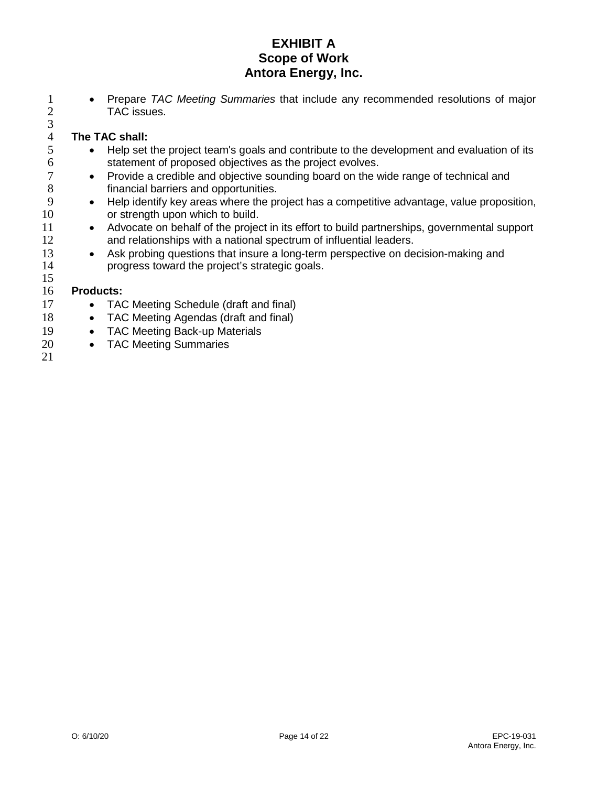1 • Prepare *TAC Meeting Summaries* that include any recommended resolutions of major<br>2 TAC issues. TAC issues.

# 4 **The TAC shall:**<br>5 • Help set

- Help set the project team's goals and contribute to the development and evaluation of its 6 statement of proposed objectives as the project evolves.<br>
7 • Provide a credible and objective sounding board on the v
- 7 Provide a credible and objective sounding board on the wide range of technical and 8 8 financial barriers and opportunities.<br>9 e Help identify key areas where the pr
- 9 Help identify key areas where the project has a competitive advantage, value proposition,<br>10 or strength upon which to build. or strength upon which to build.
- 11 Advocate on behalf of the project in its effort to build partnerships, governmental support 12 and relationships with a national spectrum of influential leaders.
- 13 Ask probing questions that insure a long-term perspective on decision-making and 14 progress toward the project's strategic goals.

#### 16 **Products:**

- 17 TAC Meeting Schedule (draft and final)
- 18 TAC Meeting Agendas (draft and final)
- 19 TAC Meeting Back-up Materials
- 20 TAC Meeting Summaries
- 21

15

 $\frac{3}{4}$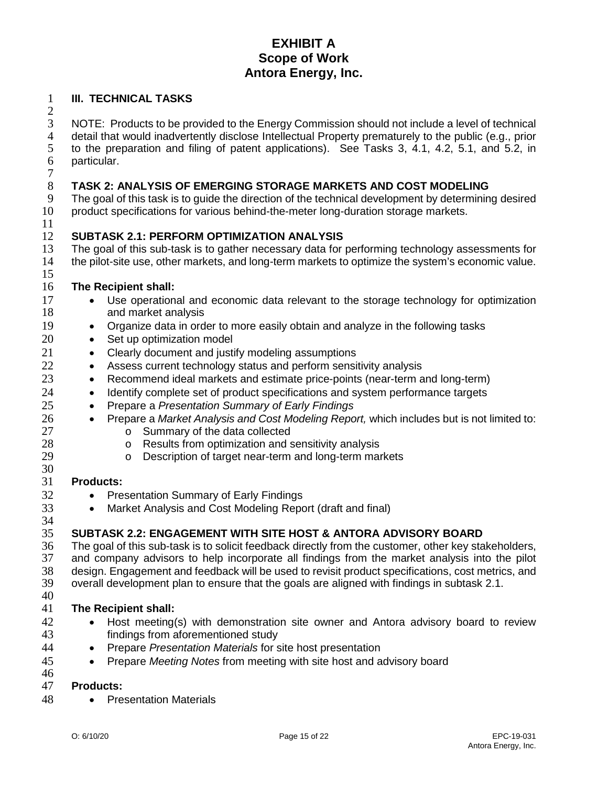#### **III. TECHNICAL TASKS**

 $\frac{2}{3}$ NOTE: Products to be provided to the Energy Commission should not include a level of technical 4 detail that would inadvertently disclose Intellectual Property prematurely to the public (e.g., prior<br>5 to the preparation and filing of patent applications). See Tasks 3, 4.1, 4.2, 5.1, and 5.2, in to the preparation and filing of patent applications). See Tasks 3, 4.1, 4.2, 5.1, and 5.2, in particular.

# $\begin{array}{c} 7 \\ 8 \end{array}$ **TASK 2: ANALYSIS OF EMERGING STORAGE MARKETS AND COST MODELING**

The goal of this task is to guide the direction of the technical development by determining desired product specifications for various behind-the-meter long-duration storage markets.

#### **SUBTASK 2.1: PERFORM OPTIMIZATION ANALYSIS**

13 The goal of this sub-task is to gather necessary data for performing technology assessments for<br>14 the pilot-site use, other markets, and long-term markets to optimize the system's economic value. the pilot-site use, other markets, and long-term markets to optimize the system's economic value. 

#### **The Recipient shall:**

- Use operational and economic data relevant to the storage technology for optimization and market analysis
- Organize data in order to more easily obtain and analyze in the following tasks
- 20 Set up optimization model
- Clearly document and justify modeling assumptions
- 22 Assess current technology status and perform sensitivity analysis
- Recommend ideal markets and estimate price-points (near-term and long-term)
- Identify complete set of product specifications and system performance targets
- Prepare a *Presentation Summary of Early Findings*
- Prepare a *Market Analysis and Cost Modeling Report,* which includes but is not limited to:
- o Summary of the data collected<br> $28$  o Results from optimization and s
- 28 o Results from optimization and sensitivity analysis<br>29 o Description of target near-term and long-term mar
	- Description of target near-term and long-term markets

#### $\frac{30}{31}$ **Products:**

- Presentation Summary of Early Findings
- Market Analysis and Cost Modeling Report (draft and final)

#### **SUBTASK 2.2: ENGAGEMENT WITH SITE HOST & ANTORA ADVISORY BOARD**

36 The goal of this sub-task is to solicit feedback directly from the customer, other key stakeholders, 37 and company advisors to help incorporate all findings from the market analysis into the pilot 37 and company advisors to help incorporate all findings from the market analysis into the pilot 38 design. Engagement and feedback will be used to revisit product specifications, cost metrics, and design. Engagement and feedback will be used to revisit product specifications, cost metrics, and overall development plan to ensure that the goals are aligned with findings in subtask 2.1.

#### **The Recipient shall:**

- Host meeting(s) with demonstration site owner and Antora advisory board to review findings from aforementioned study
- Prepare *Presentation Materials* for site host presentation
- Prepare *Meeting Notes* from meeting with site host and advisory board

#### **Products:**

• Presentation Materials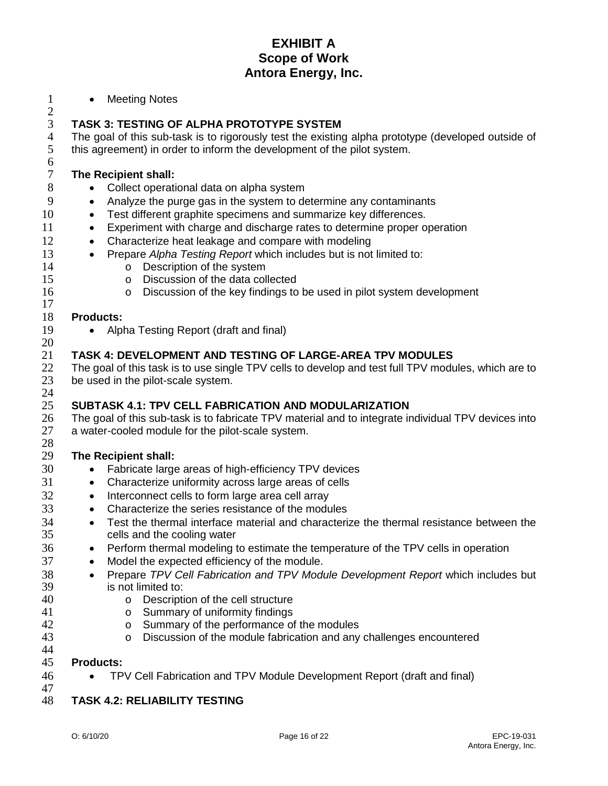1 • Meeting Notes

# $\frac{2}{3}$ 3 **TASK 3: TESTING OF ALPHA PROTOTYPE SYSTEM**

4 The goal of this sub-task is to rigorously test the existing alpha prototype (developed outside of this agreement) in order to inform the development of the pilot system. this agreement) in order to inform the development of the pilot system.

# 7 **The Recipient shall:**<br>8 **.** Collect operation

- Collect operational data on alpha system
- 9 Analyze the purge gas in the system to determine any contaminants
- 10 Test different graphite specimens and summarize key differences.
- 11 Experiment with charge and discharge rates to determine proper operation
- 12 Characterize heat leakage and compare with modeling
- 13 Prepare *Alpha Testing Report* which includes but is not limited to:
	-
- 14 o Description of the system<br>15 o Discussion of the data col 15 o Discussion of the data collected<br>16 o Discussion of the key findings to
	- Discussion of the key findings to be used in pilot system development

#### 18 **Products:**

6<br>7

17

19 • Alpha Testing Report (draft and final)

#### $\frac{20}{21}$ 21 **TASK 4: DEVELOPMENT AND TESTING OF LARGE-AREA TPV MODULES**

22 The goal of this task is to use single TPV cells to develop and test full TPV modules, which are to 23 be used in the pilot-scale system. be used in the pilot-scale system.

#### $\frac{24}{25}$ 25 **SUBTASK 4.1: TPV CELL FABRICATION AND MODULARIZATION**

26 The goal of this sub-task is to fabricate TPV material and to integrate individual TPV devices into 27 a water-cooled module for the pilot-scale system.

#### $\frac{28}{29}$ **The Recipient shall:**

- 30 Fabricate large areas of high-efficiency TPV devices
- 31 Characterize uniformity across large areas of cells
- 32 Interconnect cells to form large area cell array
- 33 Characterize the series resistance of the modules
- 34 Test the thermal interface material and characterize the thermal resistance between the 35 cells and the cooling water
- 36 Perform thermal modeling to estimate the temperature of the TPV cells in operation
- 37 Model the expected efficiency of the module.
- 38 Prepare *TPV Cell Fabrication and TPV Module Development Report* which includes but 39 is not limited to:
- 40 o Description of the cell structure<br>41 o Summary of uniformity findings
- 41 o Summary of uniformity findings<br>42 o Summary of the performance of
- 42 o Summary of the performance of the modules<br>43 o Discussion of the module fabrication and any
	- o Discussion of the module fabrication and any challenges encountered

#### 45 **Products:**

46 • TPV Cell Fabrication and TPV Module Development Report (draft and final)

# 47

44

48 **TASK 4.2: RELIABILITY TESTING**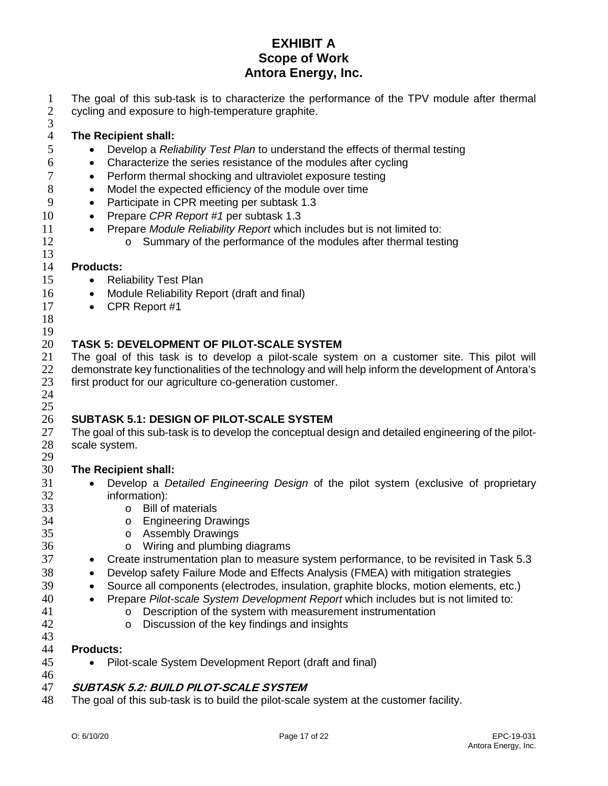1 The goal of this sub-task is to characterize the performance of the TPV module after thermal cycling and exposure to high-temperature graphite. cycling and exposure to high-temperature graphite.

3

# 4 **The Recipient shall:**

- 5 Develop a *Reliability Test Plan* to understand the effects of thermal testing
- 6 Characterize the series resistance of the modules after cycling
- 7 Perform thermal shocking and ultraviolet exposure testing
- 8 Model the expected efficiency of the module over time<br>9 Participate in CPR meeting per subtask 1.3
	- Participate in CPR meeting per subtask 1.3
- 10 Prepare *CPR Report #1* per subtask 1.3
- 11 Prepare *Module Reliability Report* which includes but is not limited to:
- 12 **b** Summary of the performance of the modules after thermal testing

#### $\frac{13}{14}$ **Products:**

- 15 Reliability Test Plan
- 16 Module Reliability Report (draft and final)
- 17 CPR Report #1
- 18

# $\frac{19}{20}$

### 20 **TASK 5: DEVELOPMENT OF PILOT-SCALE SYSTEM**

21 The goal of this task is to develop a pilot-scale system on a customer site. This pilot will<br>22 demonstrate key functionalities of the technology and will help inform the development of Antora's 22 demonstrate key functionalities of the technology and will help inform the development of Antora's 23 first product for our agriculture co-generation customer. first product for our agriculture co-generation customer.

24 25

# 26 **SUBTASK 5.1: DESIGN OF PILOT-SCALE SYSTEM**

27 The goal of this sub-task is to develop the conceptual design and detailed engineering of the pilot-<br>28 scale system. scale system.

#### 29<br>30 **The Recipient shall:**

- 31 Develop a *Detailed Engineering Design* of the pilot system (exclusive of proprietary 32 information):<br>33 o Bill of
- 33 o Bill of materials<br>34 o Engineering Dra
- 34 o Engineering Drawings<br>35 o Assembly Drawings
	-
- 35 o Assembly Drawings<br>36 o Wiring and plumbing
- 36 o Wiring and plumbing diagrams<br>37 **·** Create instrumentation plan to measur • Create instrumentation plan to measure system performance, to be revisited in Task 5.3
- 38 Develop safety Failure Mode and Effects Analysis (FMEA) with mitigation strategies
- 39 Source all components (electrodes, insulation, graphite blocks, motion elements, etc.)
- 40 Prepare *Pilot-scale System Development Report* which includes but is not limited to:
- 41 o Description of the system with measurement instrumentation<br>42 o Discussion of the key findings and insights
	- o Discussion of the key findings and insights

#### 43<br>44 **Products:**

- 45 Pilot-scale System Development Report (draft and final)
- 46<br>47

### 47 **SUBTASK 5.2: BUILD PILOT-SCALE SYSTEM**

48 The goal of this sub-task is to build the pilot-scale system at the customer facility.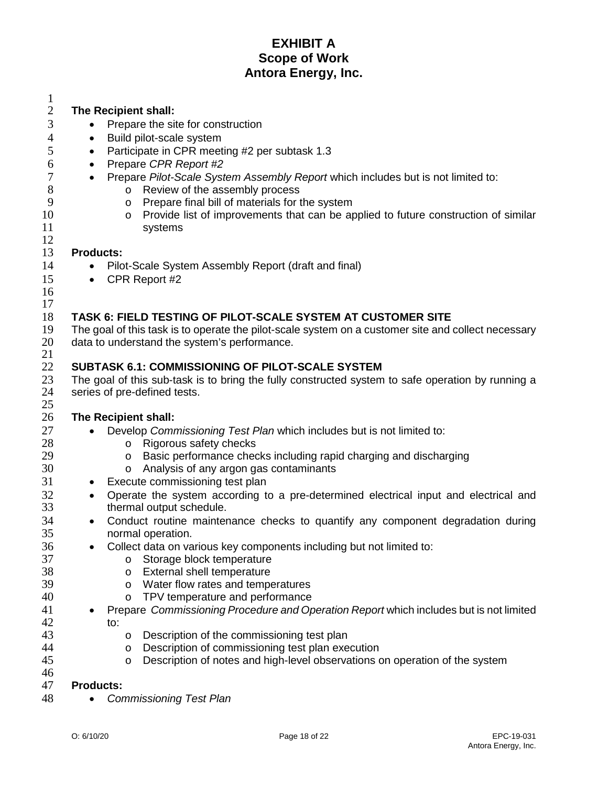| 1            |                                                                                                     |  |  |  |
|--------------|-----------------------------------------------------------------------------------------------------|--|--|--|
| $\mathbf{2}$ | The Recipient shall:                                                                                |  |  |  |
| 3            | Prepare the site for construction<br>$\bullet$                                                      |  |  |  |
| 4            | Build pilot-scale system<br>٠                                                                       |  |  |  |
| 5            | Participate in CPR meeting #2 per subtask 1.3<br>$\bullet$                                          |  |  |  |
| 6            | Prepare CPR Report #2<br>$\bullet$                                                                  |  |  |  |
| 7            | Prepare Pilot-Scale System Assembly Report which includes but is not limited to:<br>$\bullet$       |  |  |  |
| 8            | Review of the assembly process<br>$\circ$                                                           |  |  |  |
| 9            | Prepare final bill of materials for the system<br>O                                                 |  |  |  |
| 10           | Provide list of improvements that can be applied to future construction of similar<br>$\circ$       |  |  |  |
| 11<br>12     | systems                                                                                             |  |  |  |
| 13           | <b>Products:</b>                                                                                    |  |  |  |
| 14           | Pilot-Scale System Assembly Report (draft and final)                                                |  |  |  |
| 15           | CPR Report #2<br>$\bullet$                                                                          |  |  |  |
| 16           |                                                                                                     |  |  |  |
| 17           |                                                                                                     |  |  |  |
| 18           | TASK 6: FIELD TESTING OF PILOT-SCALE SYSTEM AT CUSTOMER SITE                                        |  |  |  |
| 19           | The goal of this task is to operate the pilot-scale system on a customer site and collect necessary |  |  |  |
| 20           | data to understand the system's performance.                                                        |  |  |  |
| 21           |                                                                                                     |  |  |  |
| 22           | <b>SUBTASK 6.1: COMMISSIONING OF PILOT-SCALE SYSTEM</b>                                             |  |  |  |
| 23           | The goal of this sub-task is to bring the fully constructed system to safe operation by running a   |  |  |  |
| 24           | series of pre-defined tests.                                                                        |  |  |  |
| 25<br>26     | The Recipient shall:                                                                                |  |  |  |
| 27           | Develop Commissioning Test Plan which includes but is not limited to:                               |  |  |  |
| 28           | Rigorous safety checks<br>$\circ$                                                                   |  |  |  |
| 29           | Basic performance checks including rapid charging and discharging<br>$\circ$                        |  |  |  |
| 30           | Analysis of any argon gas contaminants<br>O                                                         |  |  |  |
| 31           | Execute commissioning test plan<br>$\bullet$                                                        |  |  |  |
| 32           | Operate the system according to a pre-determined electrical input and electrical and<br>$\bullet$   |  |  |  |
| 33           | thermal output schedule.                                                                            |  |  |  |
| 34           | Conduct routine maintenance checks to quantify any component degradation during<br>$\bullet$        |  |  |  |
| 35           | normal operation.                                                                                   |  |  |  |
| 36           | Collect data on various key components including but not limited to:                                |  |  |  |
| 37           | Storage block temperature<br>O                                                                      |  |  |  |
| 38           | External shell temperature<br>O                                                                     |  |  |  |
| 39<br>40     | Water flow rates and temperatures<br>O<br>TPV temperature and performance                           |  |  |  |
| 41           | O<br>Prepare Commissioning Procedure and Operation Report which includes but is not limited         |  |  |  |
| 42           | to:                                                                                                 |  |  |  |
| 43           | Description of the commissioning test plan<br>O                                                     |  |  |  |
| 44           | Description of commissioning test plan execution<br>O                                               |  |  |  |
| 45           | Description of notes and high-level observations on operation of the system<br>O                    |  |  |  |
| 46           |                                                                                                     |  |  |  |
| 47           | <b>Products:</b>                                                                                    |  |  |  |

• *Commissioning Test Plan*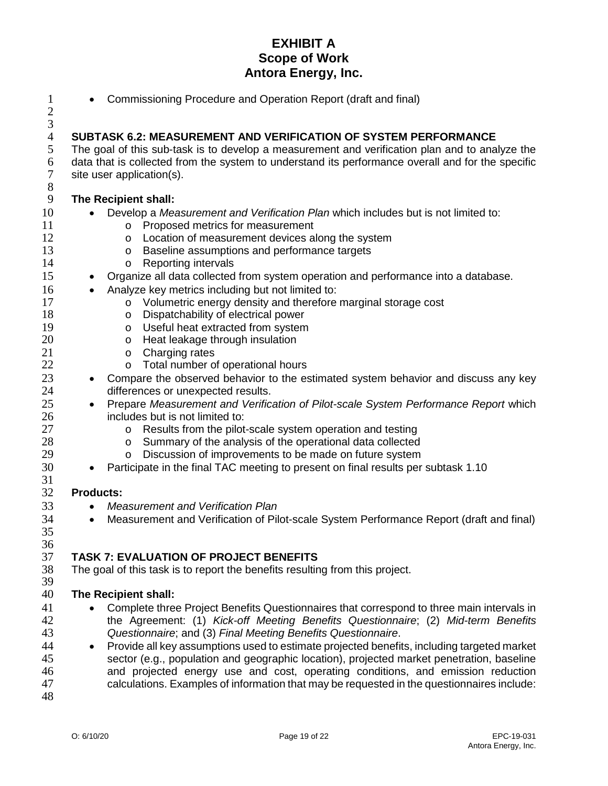1 • Commissioning Procedure and Operation Report (draft and final)

2  $\frac{3}{4}$ 4 **SUBTASK 6.2: MEASUREMENT AND VERIFICATION OF SYSTEM PERFORMANCE**<br>5 The goal of this sub-task is to develop a measurement and verification plan and to ana 5 The goal of this sub-task is to develop a measurement and verification plan and to analyze the 6 data that is collected from the system to understand its performance overall and for the specific  $\frac{7}{100}$  site user application(s). site user application(s). 8 9 **The Recipient shall:** 10 • Develop a *Measurement and Verification Plan* which includes but is not limited to: 11 o Proposed metrics for measurement<br>12 o Location of measurement devices a 12 o Location of measurement devices along the system<br>13 o Baseline assumptions and performance targets 13 o Baseline assumptions and performance targets<br>14 o Reporting intervals 14 o Reporting intervals<br>15 • Organize all data collected • Organize all data collected from system operation and performance into a database. 16 • Analyze key metrics including but not limited to:<br>17 **• Columetric energy density and therefore** 17 o Volumetric energy density and therefore marginal storage cost<br>18 o Dispatchability of electrical power 18 o Dispatchability of electrical power<br>19 o Useful heat extracted from system 19 o Useful heat extracted from system<br>20 o Heat leakage through insulation 20 o Heat leakage through insulation<br>21 o Charging rates 21 o Charging rates<br>22 o Total number o 22 o Total number of operational hours<br>23 • Compare the observed behavior to the es • Compare the observed behavior to the estimated system behavior and discuss any key 24 differences or unexpected results. 25 • Prepare *Measurement and Verification of Pilot-scale System Performance Report* which 26 includes but is not limited to: 27 o Results from the pilot-scale system operation and testing<br>28 o Summary of the analysis of the operational data collected 28 o Summary of the analysis of the operational data collected<br>29 o Discussion of improvements to be made on future system 29 o Discussion of improvements to be made on future system<br>30 • Participate in the final TAC meeting to present on final results per • Participate in the final TAC meeting to present on final results per subtask 1.10  $\frac{31}{32}$ 32 **Products:** 33 • *Measurement and Verification Plan* 34 • Measurement and Verification of Pilot-scale System Performance Report (draft and final) 35 36<br>37 37 **TASK 7: EVALUATION OF PROJECT BENEFITS** The goal of this task is to report the benefits resulting from this project. 39 40 **The Recipient shall:** 41 • Complete three Project Benefits Questionnaires that correspond to three main intervals in 42 the Agreement: (1) *Kick-off Meeting Benefits Questionnaire*; (2) *Mid-term Benefits*  43 *Questionnaire*; and (3) *Final Meeting Benefits Questionnaire*. 44 • Provide all key assumptions used to estimate projected benefits, including targeted market 45 sector (e.g., population and geographic location), projected market penetration, baseline<br>46 and projected energy use and cost, operating conditions, and emission reduction and projected energy use and cost, operating conditions, and emission reduction 47 calculations. Examples of information that may be requested in the questionnaires include:

48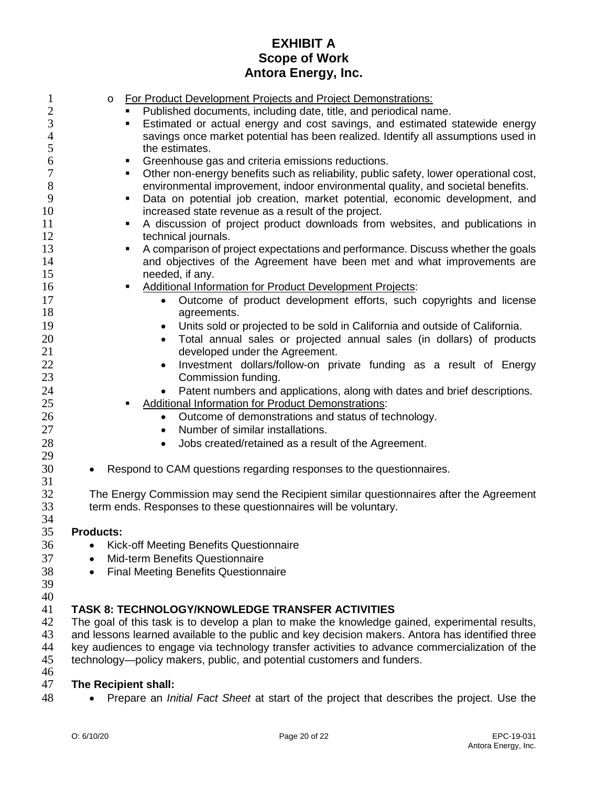| 1              | For Product Development Projects and Project Demonstrations:<br>$\circ$                                                                                                   |  |  |
|----------------|---------------------------------------------------------------------------------------------------------------------------------------------------------------------------|--|--|
| $\overline{c}$ | Published documents, including date, title, and periodical name.                                                                                                          |  |  |
| 3              | Estimated or actual energy and cost savings, and estimated statewide energy                                                                                               |  |  |
| $\overline{4}$ | savings once market potential has been realized. Identify all assumptions used in                                                                                         |  |  |
| 5              | the estimates.                                                                                                                                                            |  |  |
| 6              | Greenhouse gas and criteria emissions reductions.<br>٠                                                                                                                    |  |  |
| 7              | Other non-energy benefits such as reliability, public safety, lower operational cost,<br>٠                                                                                |  |  |
| 8              | environmental improvement, indoor environmental quality, and societal benefits.                                                                                           |  |  |
| 9              | Data on potential job creation, market potential, economic development, and<br>٠                                                                                          |  |  |
| 10             | increased state revenue as a result of the project.                                                                                                                       |  |  |
| 11             | A discussion of project product downloads from websites, and publications in<br>٠                                                                                         |  |  |
| 12             | technical journals.                                                                                                                                                       |  |  |
| 13             | A comparison of project expectations and performance. Discuss whether the goals<br>٠                                                                                      |  |  |
| 14             | and objectives of the Agreement have been met and what improvements are                                                                                                   |  |  |
| 15             | needed, if any.                                                                                                                                                           |  |  |
| 16             | Additional Information for Product Development Projects:                                                                                                                  |  |  |
| 17<br>18       | Outcome of product development efforts, such copyrights and license<br>$\bullet$                                                                                          |  |  |
| 19             | agreements.                                                                                                                                                               |  |  |
|                | Units sold or projected to be sold in California and outside of California.<br>٠                                                                                          |  |  |
| 20<br>21       | Total annual sales or projected annual sales (in dollars) of products<br>$\bullet$<br>developed under the Agreement.                                                      |  |  |
| 22             | Investment dollars/follow-on private funding as a result of Energy<br>$\bullet$                                                                                           |  |  |
| 23             | Commission funding.                                                                                                                                                       |  |  |
| 24             | Patent numbers and applications, along with dates and brief descriptions.                                                                                                 |  |  |
| 25             | <b>Additional Information for Product Demonstrations:</b>                                                                                                                 |  |  |
| 26             | Outcome of demonstrations and status of technology.<br>$\bullet$                                                                                                          |  |  |
| 27             | Number of similar installations.<br>$\bullet$                                                                                                                             |  |  |
| 28             | Jobs created/retained as a result of the Agreement.<br>$\bullet$                                                                                                          |  |  |
| 29             |                                                                                                                                                                           |  |  |
| 30             | Respond to CAM questions regarding responses to the questionnaires.<br>$\bullet$                                                                                          |  |  |
| 31             |                                                                                                                                                                           |  |  |
| 32             | The Energy Commission may send the Recipient similar questionnaires after the Agreement                                                                                   |  |  |
| 33             | term ends. Responses to these questionnaires will be voluntary.                                                                                                           |  |  |
| 34             |                                                                                                                                                                           |  |  |
| 35             | <b>Products:</b>                                                                                                                                                          |  |  |
| 36             | Kick-off Meeting Benefits Questionnaire<br>$\bullet$                                                                                                                      |  |  |
| 37             | Mid-term Benefits Questionnaire<br>$\bullet$                                                                                                                              |  |  |
| 38             | <b>Final Meeting Benefits Questionnaire</b>                                                                                                                               |  |  |
| 39             |                                                                                                                                                                           |  |  |
| 40             |                                                                                                                                                                           |  |  |
| 41             | <b>TASK 8: TECHNOLOGY/KNOWLEDGE TRANSFER ACTIVITIES</b>                                                                                                                   |  |  |
| 42             | The goal of this task is to develop a plan to make the knowledge gained, experimental results,                                                                            |  |  |
| 43<br>44       | and lessons learned available to the public and key decision makers. Antora has identified three                                                                          |  |  |
| 45             | key audiences to engage via technology transfer activities to advance commercialization of the<br>technology--policy makers, public, and potential customers and funders. |  |  |
| 46             |                                                                                                                                                                           |  |  |
| 47             | The Recipient shall:                                                                                                                                                      |  |  |
|                |                                                                                                                                                                           |  |  |

• Prepare an *Initial Fact Sheet* at start of the project that describes the project. Use the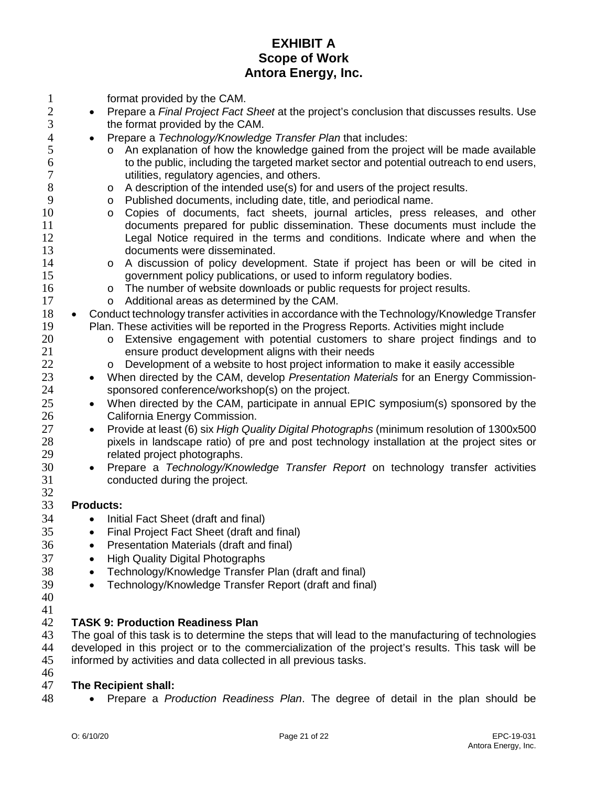| $\mathbf{1}$     | format provided by the CAM.                                                                                                                     |  |  |
|------------------|-------------------------------------------------------------------------------------------------------------------------------------------------|--|--|
| $\overline{2}$   | Prepare a Final Project Fact Sheet at the project's conclusion that discusses results. Use<br>$\bullet$                                         |  |  |
| 3                | the format provided by the CAM.                                                                                                                 |  |  |
| $\overline{4}$   | Prepare a Technology/Knowledge Transfer Plan that includes:<br>$\bullet$                                                                        |  |  |
| 5                | An explanation of how the knowledge gained from the project will be made available<br>$\circ$                                                   |  |  |
| 6                | to the public, including the targeted market sector and potential outreach to end users,                                                        |  |  |
| $\boldsymbol{7}$ | utilities, regulatory agencies, and others.                                                                                                     |  |  |
| 8                | A description of the intended use(s) for and users of the project results.<br>$\circ$                                                           |  |  |
| 9                | Published documents, including date, title, and periodical name.<br>O                                                                           |  |  |
| 10               | Copies of documents, fact sheets, journal articles, press releases, and other<br>$\circ$                                                        |  |  |
| 11               | documents prepared for public dissemination. These documents must include the                                                                   |  |  |
| 12               | Legal Notice required in the terms and conditions. Indicate where and when the                                                                  |  |  |
| 13               | documents were disseminated.                                                                                                                    |  |  |
| 14<br>15         | A discussion of policy development. State if project has been or will be cited in<br>$\circ$                                                    |  |  |
| 16               | government policy publications, or used to inform regulatory bodies.<br>The number of website downloads or public requests for project results. |  |  |
| 17               | $\circ$<br>Additional areas as determined by the CAM.<br>$\circ$                                                                                |  |  |
| 18               | Conduct technology transfer activities in accordance with the Technology/Knowledge Transfer<br>$\bullet$                                        |  |  |
| 19               | Plan. These activities will be reported in the Progress Reports. Activities might include                                                       |  |  |
| 20               | Extensive engagement with potential customers to share project findings and to<br>$\circ$                                                       |  |  |
| 21               | ensure product development aligns with their needs                                                                                              |  |  |
| 22               | Development of a website to host project information to make it easily accessible<br>$\circ$                                                    |  |  |
| 23               | When directed by the CAM, develop Presentation Materials for an Energy Commission-<br>$\bullet$                                                 |  |  |
| 24               | sponsored conference/workshop(s) on the project.                                                                                                |  |  |
| 25               | When directed by the CAM, participate in annual EPIC symposium(s) sponsored by the<br>$\bullet$                                                 |  |  |
| 26               | California Energy Commission.                                                                                                                   |  |  |
| 27               | Provide at least (6) six <i>High Quality Digital Photographs</i> (minimum resolution of 1300x500<br>$\bullet$                                   |  |  |
| 28               | pixels in landscape ratio) of pre and post technology installation at the project sites or                                                      |  |  |
| 29               | related project photographs.                                                                                                                    |  |  |
| 30               | Prepare a Technology/Knowledge Transfer Report on technology transfer activities<br>$\bullet$                                                   |  |  |
| 31<br>32         | conducted during the project.                                                                                                                   |  |  |
| 33               | <b>Products:</b>                                                                                                                                |  |  |
| 34               | Initial Fact Sheet (draft and final)<br>$\bullet$                                                                                               |  |  |
| 35               | Final Project Fact Sheet (draft and final)                                                                                                      |  |  |
| 36               | Presentation Materials (draft and final)                                                                                                        |  |  |
| 37               | <b>High Quality Digital Photographs</b><br>$\bullet$                                                                                            |  |  |
| 38               | Technology/Knowledge Transfer Plan (draft and final)<br>$\bullet$                                                                               |  |  |
| 39               | Technology/Knowledge Transfer Report (draft and final)<br>$\bullet$                                                                             |  |  |
| 40               |                                                                                                                                                 |  |  |
| 41               |                                                                                                                                                 |  |  |
| 42               | <b>TASK 9: Production Readiness Plan</b>                                                                                                        |  |  |
| 43               | The goal of this task is to determine the steps that will lead to the manufacturing of technologies                                             |  |  |
| 44               | developed in this project or to the commercialization of the project's results. This task will be                                               |  |  |
| 45               | informed by activities and data collected in all previous tasks.                                                                                |  |  |
| 46               |                                                                                                                                                 |  |  |
| 47               | The Recipient shall:                                                                                                                            |  |  |

• Prepare a *Production Readiness Plan*. The degree of detail in the plan should be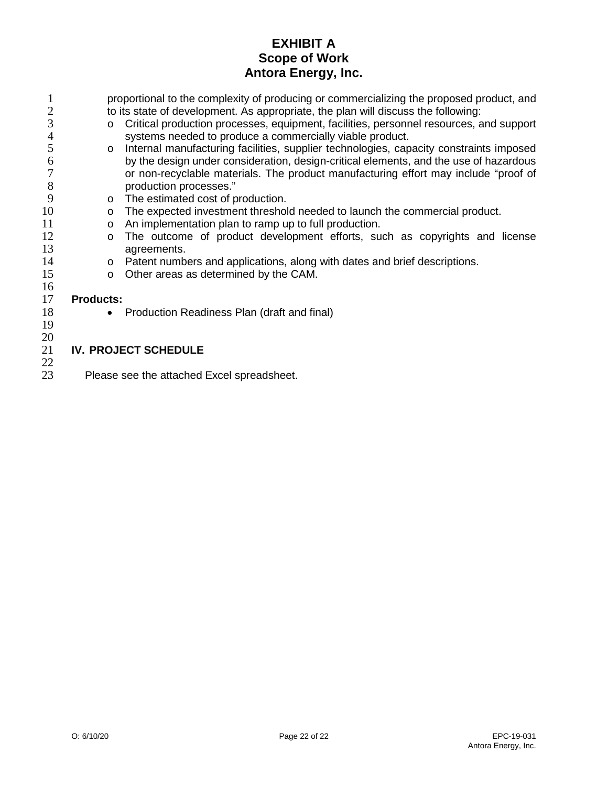|                     | proportional to the complexity of producing or commercializing the proposed product, and |                                                                                        |  |  |  |
|---------------------|------------------------------------------------------------------------------------------|----------------------------------------------------------------------------------------|--|--|--|
| $\overline{2}$<br>3 |                                                                                          | to its state of development. As appropriate, the plan will discuss the following:      |  |  |  |
|                     | $\circ$                                                                                  | Critical production processes, equipment, facilities, personnel resources, and support |  |  |  |
| 4                   |                                                                                          | systems needed to produce a commercially viable product.                               |  |  |  |
| 5                   | $\circ$                                                                                  | Internal manufacturing facilities, supplier technologies, capacity constraints imposed |  |  |  |
| 6                   |                                                                                          | by the design under consideration, design-critical elements, and the use of hazardous  |  |  |  |
| 7                   |                                                                                          | or non-recyclable materials. The product manufacturing effort may include "proof of    |  |  |  |
| 8                   |                                                                                          | production processes."                                                                 |  |  |  |
| 9                   | $\circ$                                                                                  | The estimated cost of production.                                                      |  |  |  |
| 10                  | $\circ$                                                                                  | The expected investment threshold needed to launch the commercial product.             |  |  |  |
| 11                  | $\circ$                                                                                  | An implementation plan to ramp up to full production.                                  |  |  |  |
| 12                  | $\circ$                                                                                  | The outcome of product development efforts, such as copyrights and license             |  |  |  |
| 13                  |                                                                                          | agreements.                                                                            |  |  |  |
| 14                  | $\circ$                                                                                  | Patent numbers and applications, along with dates and brief descriptions.              |  |  |  |
| 15                  | $\circ$                                                                                  | Other areas as determined by the CAM.                                                  |  |  |  |
| 16                  |                                                                                          |                                                                                        |  |  |  |
| 17                  | <b>Products:</b>                                                                         |                                                                                        |  |  |  |
| 18                  |                                                                                          | Production Readiness Plan (draft and final)                                            |  |  |  |
| 19                  |                                                                                          |                                                                                        |  |  |  |
| 20                  |                                                                                          |                                                                                        |  |  |  |
| 21                  | <b>IV. PROJECT SCHEDULE</b>                                                              |                                                                                        |  |  |  |
| 22                  |                                                                                          |                                                                                        |  |  |  |
| 23                  | Please see the attached Excel spreadsheet.                                               |                                                                                        |  |  |  |
|                     |                                                                                          |                                                                                        |  |  |  |